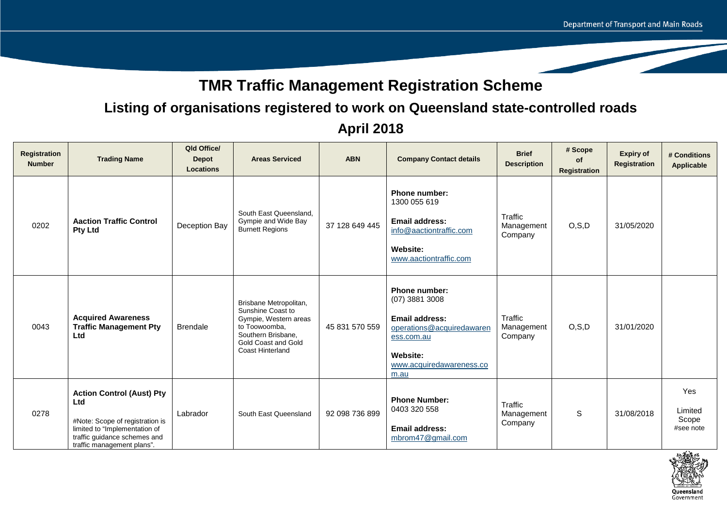# **TMR Traffic Management Registration Scheme**

## **Listing of organisations registered to work on Queensland state-controlled roads**

| Registration<br><b>Number</b> | <b>Trading Name</b>                                                                                                                                                       | Qld Office/<br><b>Depot</b><br><b>Locations</b> | <b>Areas Serviced</b>                                                                                                                                         | <b>ABN</b>     | <b>Company Contact details</b>                                                                                                                        | <b>Brief</b><br><b>Description</b> | # Scope<br><b>of</b><br>Registration | <b>Expiry of</b><br><b>Registration</b> | # Conditions<br><b>Applicable</b>    |
|-------------------------------|---------------------------------------------------------------------------------------------------------------------------------------------------------------------------|-------------------------------------------------|---------------------------------------------------------------------------------------------------------------------------------------------------------------|----------------|-------------------------------------------------------------------------------------------------------------------------------------------------------|------------------------------------|--------------------------------------|-----------------------------------------|--------------------------------------|
| 0202                          | <b>Aaction Traffic Control</b><br><b>Pty Ltd</b>                                                                                                                          | Deception Bay                                   | South East Queensland,<br>Gympie and Wide Bay<br><b>Burnett Regions</b>                                                                                       | 37 128 649 445 | <b>Phone number:</b><br>1300 055 619<br><b>Email address:</b><br>info@aactiontraffic.com<br>Website:<br>www.aactiontraffic.com                        | Traffic<br>Management<br>Company   | O, S, D                              | 31/05/2020                              |                                      |
| 0043                          | <b>Acquired Awareness</b><br><b>Traffic Management Pty</b><br>Ltd                                                                                                         | <b>Brendale</b>                                 | Brisbane Metropolitan,<br>Sunshine Coast to<br>Gympie, Western areas<br>to Toowoomba,<br>Southern Brisbane,<br>Gold Coast and Gold<br><b>Coast Hinterland</b> | 45 831 570 559 | <b>Phone number:</b><br>$(07)$ 3881 3008<br>Email address:<br>operations@acquiredawaren<br>ess.com.au<br>Website:<br>www.acquiredawareness.co<br>m.au | Traffic<br>Management<br>Company   | O, S, D                              | 31/01/2020                              |                                      |
| 0278                          | <b>Action Control (Aust) Pty</b><br>Ltd<br>#Note: Scope of registration is<br>limited to "Implementation of<br>traffic guidance schemes and<br>traffic management plans". | Labrador                                        | South East Queensland                                                                                                                                         | 92 098 736 899 | <b>Phone Number:</b><br>0403 320 558<br><b>Email address:</b><br>mbrom47@gmail.com                                                                    | Traffic<br>Management<br>Company   | S                                    | 31/08/2018                              | Yes<br>Limited<br>Scope<br>#see note |

## **April 2018**

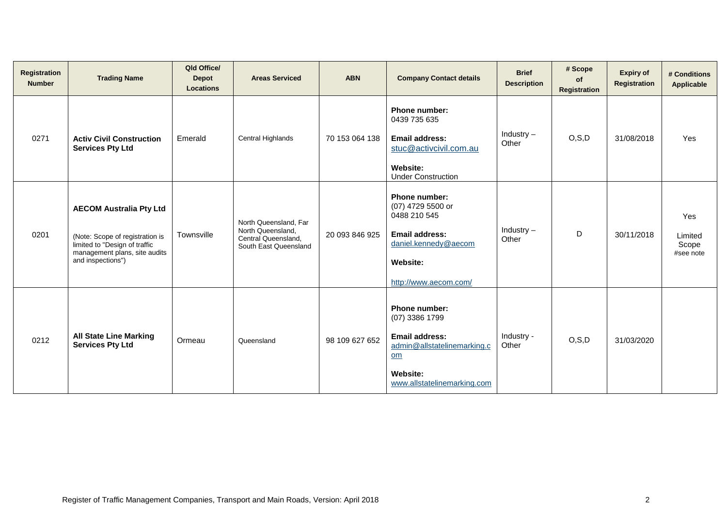| Registration<br><b>Number</b> | <b>Trading Name</b>                                                                                                                                      | Qld Office/<br><b>Depot</b><br><b>Locations</b> | <b>Areas Serviced</b>                                                                      | <b>ABN</b>     | <b>Company Contact details</b>                                                                                                             | <b>Brief</b><br><b>Description</b> | # Scope<br><b>of</b><br>Registration | <b>Expiry of</b><br>Registration | # Conditions<br>Applicable           |
|-------------------------------|----------------------------------------------------------------------------------------------------------------------------------------------------------|-------------------------------------------------|--------------------------------------------------------------------------------------------|----------------|--------------------------------------------------------------------------------------------------------------------------------------------|------------------------------------|--------------------------------------|----------------------------------|--------------------------------------|
| 0271                          | <b>Activ Civil Construction</b><br><b>Services Pty Ltd</b>                                                                                               | Emerald                                         | Central Highlands                                                                          | 70 153 064 138 | <b>Phone number:</b><br>0439 735 635<br><b>Email address:</b><br>stuc@activcivil.com.au<br><b>Website:</b><br><b>Under Construction</b>    | Industry $-$<br>Other              | O, S, D                              | 31/08/2018                       | Yes                                  |
| 0201                          | <b>AECOM Australia Pty Ltd</b><br>(Note: Scope of registration is<br>limited to "Design of traffic<br>management plans, site audits<br>and inspections") | Townsville                                      | North Queensland, Far<br>North Queensland,<br>Central Queensland,<br>South East Queensland | 20 093 846 925 | Phone number:<br>(07) 4729 5500 or<br>0488 210 545<br><b>Email address:</b><br>daniel.kennedy@aecom<br>Website:<br>http://www.aecom.com/   | Industry $-$<br>Other              | D                                    | 30/11/2018                       | Yes<br>Limited<br>Scope<br>#see note |
| 0212                          | <b>All State Line Marking</b><br><b>Services Pty Ltd</b>                                                                                                 | Ormeau                                          | Queensland                                                                                 | 98 109 627 652 | Phone number:<br>$(07)$ 3386 1799<br><b>Email address:</b><br>admin@allstatelinemarking.c<br>om<br>Website:<br>www.allstatelinemarking.com | Industry -<br>Other                | O, S, D                              | 31/03/2020                       |                                      |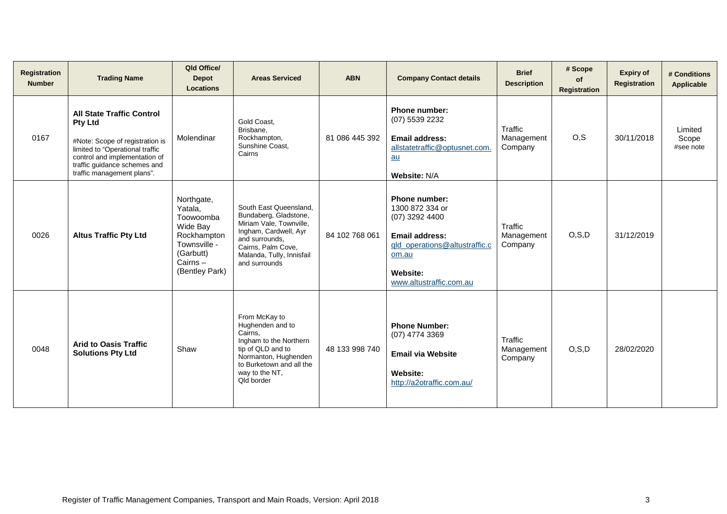| Registration<br><b>Number</b> | <b>Trading Name</b>                                                                                                                                                                                                     | Qld Office/<br><b>Depot</b><br><b>Locations</b>                                                                         | <b>Areas Serviced</b>                                                                                                                                                                     | <b>ABN</b>     | <b>Company Contact details</b>                                                                                                                                        | <b>Brief</b><br><b>Description</b> | # Scope<br>of<br><b>Registration</b> | <b>Expiry of</b><br><b>Registration</b> | # Conditions<br><b>Applicable</b> |
|-------------------------------|-------------------------------------------------------------------------------------------------------------------------------------------------------------------------------------------------------------------------|-------------------------------------------------------------------------------------------------------------------------|-------------------------------------------------------------------------------------------------------------------------------------------------------------------------------------------|----------------|-----------------------------------------------------------------------------------------------------------------------------------------------------------------------|------------------------------------|--------------------------------------|-----------------------------------------|-----------------------------------|
| 0167                          | <b>All State Traffic Control</b><br><b>Pty Ltd</b><br>#Note: Scope of registration is<br>limited to "Operational traffic<br>control and implementation of<br>traffic guidance schemes and<br>traffic management plans". | Molendinar                                                                                                              | Gold Coast,<br>Brisbane,<br>Rockhampton,<br>Sunshine Coast.<br>Cairns                                                                                                                     | 81 086 445 392 | <b>Phone number:</b><br>(07) 5539 2232<br>Email address:<br>allstatetraffic@optusnet.com.<br>au<br>Website: N/A                                                       | Traffic<br>Management<br>Company   | O, S                                 | 30/11/2018                              | Limited<br>Scope<br>#see note     |
| 0026                          | <b>Altus Traffic Pty Ltd</b>                                                                                                                                                                                            | Northgate,<br>Yatala,<br>Toowoomba<br>Wide Bay<br>Rockhampton<br>Townsville -<br>(Garbutt)<br>Cairns-<br>(Bentley Park) | South East Queensland.<br>Bundaberg, Gladstone,<br>Miriam Vale, Townville,<br>Ingham, Cardwell, Ayr<br>and surrounds.<br>Cairns, Palm Cove,<br>Malanda, Tully, Innisfail<br>and surrounds | 84 102 768 061 | Phone number:<br>1300 872 334 or<br>$(07)$ 3292 4400<br><b>Email address:</b><br>gld_operations@altustraffic.c<br>om.au<br><b>Website:</b><br>www.altustraffic.com.au | Traffic<br>Management<br>Company   | O, S, D                              | 31/12/2019                              |                                   |
| 0048                          | <b>Arid to Oasis Traffic</b><br><b>Solutions Pty Ltd</b>                                                                                                                                                                | Shaw                                                                                                                    | From McKay to<br>Hughenden and to<br>Cairns.<br>Ingham to the Northern<br>tip of QLD and to<br>Normanton, Hughenden<br>to Burketown and all the<br>way to the NT,<br>Qld border           | 48 133 998 740 | <b>Phone Number:</b><br>(07) 4774 3369<br><b>Email via Website</b><br>Website:<br>http://a2otraffic.com.au/                                                           | Traffic<br>Management<br>Company   | O, S, D                              | 28/02/2020                              |                                   |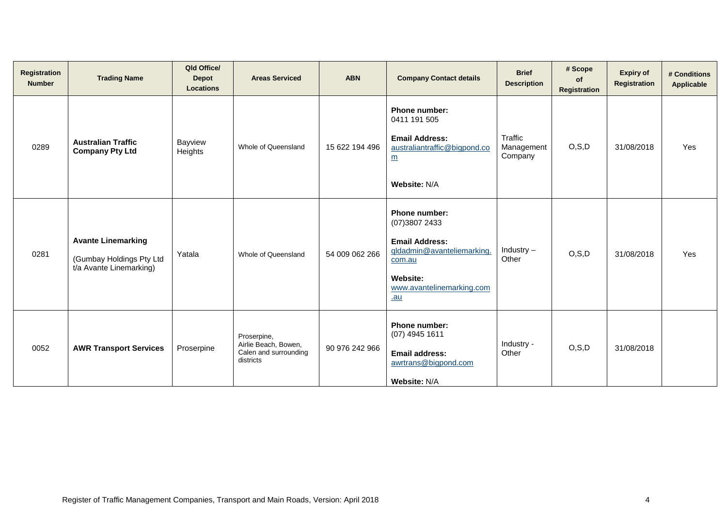| <b>Registration</b><br><b>Number</b> | <b>Trading Name</b>                                                              | Qld Office/<br><b>Depot</b><br><b>Locations</b> | <b>Areas Serviced</b>                                                     | <b>ABN</b>     | <b>Company Contact details</b>                                                                                                                                 | <b>Brief</b><br><b>Description</b> | # Scope<br>0f<br>Registration | <b>Expiry of</b><br><b>Registration</b> | # Conditions<br><b>Applicable</b> |
|--------------------------------------|----------------------------------------------------------------------------------|-------------------------------------------------|---------------------------------------------------------------------------|----------------|----------------------------------------------------------------------------------------------------------------------------------------------------------------|------------------------------------|-------------------------------|-----------------------------------------|-----------------------------------|
| 0289                                 | <b>Australian Traffic</b><br><b>Company Pty Ltd</b>                              | Bayview<br>Heights                              | Whole of Queensland                                                       | 15 622 194 496 | Phone number:<br>0411 191 505<br><b>Email Address:</b><br>australiantraffic@bigpond.co<br>m<br>Website: N/A                                                    | Traffic<br>Management<br>Company   | O, S, D                       | 31/08/2018                              | Yes                               |
| 0281                                 | <b>Avante Linemarking</b><br>(Gumbay Holdings Pty Ltd<br>t/a Avante Linemarking) | Yatala                                          | Whole of Queensland                                                       | 54 009 062 266 | <b>Phone number:</b><br>(07) 3807 2433<br><b>Email Address:</b><br>gldadmin@avanteliemarking.<br>com.au<br><b>Website:</b><br>www.avantelinemarking.com<br>.au | Industry $-$<br>Other              | O, S, D                       | 31/08/2018                              | Yes                               |
| 0052                                 | <b>AWR Transport Services</b>                                                    | Proserpine                                      | Proserpine,<br>Airlie Beach, Bowen,<br>Calen and surrounding<br>districts | 90 976 242 966 | Phone number:<br>$(07)$ 4945 1611<br><b>Email address:</b><br>awrtrans@bigpond.com<br>Website: N/A                                                             | Industry -<br>Other                | O, S, D                       | 31/08/2018                              |                                   |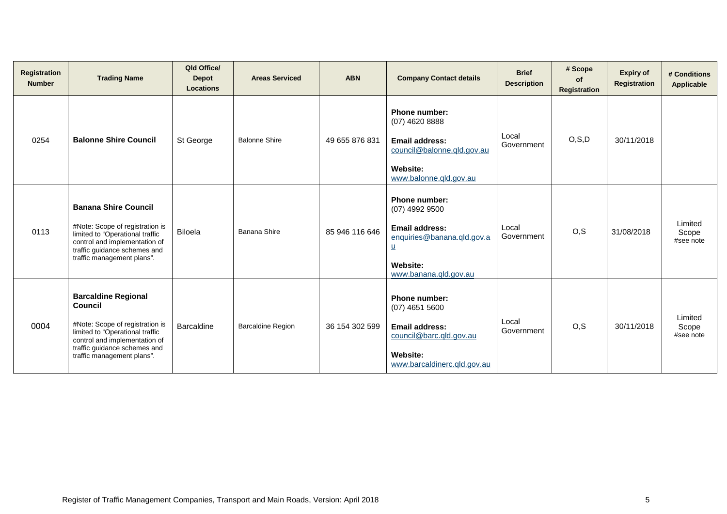| <b>Registration</b><br><b>Number</b> | <b>Trading Name</b>                                                                                                                                                                                        | Qld Office/<br><b>Depot</b><br><b>Locations</b> | <b>Areas Serviced</b>    | <b>ABN</b>     | <b>Company Contact details</b>                                                                                                                   | <b>Brief</b><br><b>Description</b> | # Scope<br><b>of</b><br>Registration | <b>Expiry of</b><br><b>Registration</b> | # Conditions<br><b>Applicable</b> |
|--------------------------------------|------------------------------------------------------------------------------------------------------------------------------------------------------------------------------------------------------------|-------------------------------------------------|--------------------------|----------------|--------------------------------------------------------------------------------------------------------------------------------------------------|------------------------------------|--------------------------------------|-----------------------------------------|-----------------------------------|
| 0254                                 | <b>Balonne Shire Council</b>                                                                                                                                                                               | St George                                       | <b>Balonne Shire</b>     | 49 655 876 831 | <b>Phone number:</b><br>(07) 4620 8888<br><b>Email address:</b><br>council@balonne.qld.gov.au<br><b>Website:</b><br>www.balonne.gld.gov.au       | Local<br>Government                | O, S, D                              | 30/11/2018                              |                                   |
| 0113                                 | <b>Banana Shire Council</b><br>#Note: Scope of registration is<br>limited to "Operational traffic<br>control and implementation of<br>traffic guidance schemes and<br>traffic management plans".           | <b>Biloela</b>                                  | Banana Shire             | 85 946 116 646 | <b>Phone number:</b><br>(07) 4992 9500<br><b>Email address:</b><br>enquiries@banana.qld.gov.a<br>$u$<br><b>Website:</b><br>www.banana.qld.gov.au | Local<br>Government                | O, S                                 | 31/08/2018                              | Limited<br>Scope<br>#see note     |
| 0004                                 | <b>Barcaldine Regional</b><br>Council<br>#Note: Scope of registration is<br>limited to "Operational traffic<br>control and implementation of<br>traffic guidance schemes and<br>traffic management plans". | Barcaldine                                      | <b>Barcaldine Region</b> | 36 154 302 599 | <b>Phone number:</b><br>$(07)$ 4651 5600<br><b>Email address:</b><br>council@barc.qld.gov.au<br>Website:<br>www.barcaldinerc.qld.gov.au          | Local<br>Government                | O, S                                 | 30/11/2018                              | Limited<br>Scope<br>#see note     |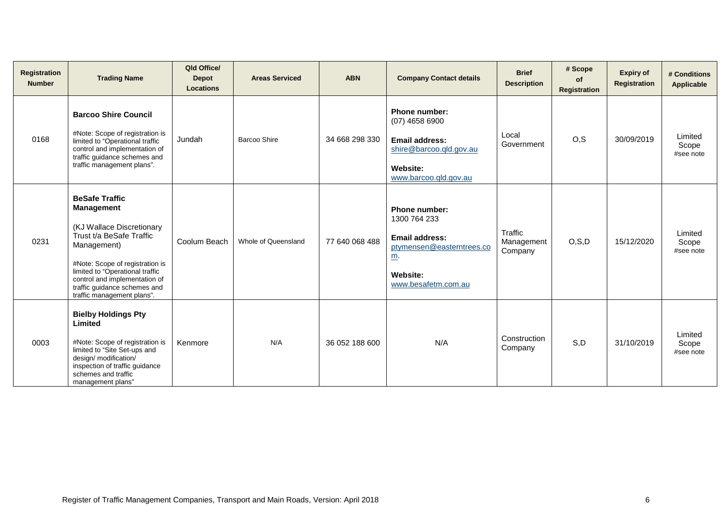| Registration<br><b>Number</b> | <b>Trading Name</b>                                                                                                                                                                                                                                                                     | Qld Office/<br><b>Depot</b><br><b>Locations</b> | <b>Areas Serviced</b> | <b>ABN</b>     | <b>Company Contact details</b>                                                                                                                     | <b>Brief</b><br><b>Description</b> | # Scope<br>of<br><b>Registration</b> | <b>Expiry of</b><br><b>Registration</b> | # Conditions<br><b>Applicable</b> |
|-------------------------------|-----------------------------------------------------------------------------------------------------------------------------------------------------------------------------------------------------------------------------------------------------------------------------------------|-------------------------------------------------|-----------------------|----------------|----------------------------------------------------------------------------------------------------------------------------------------------------|------------------------------------|--------------------------------------|-----------------------------------------|-----------------------------------|
| 0168                          | <b>Barcoo Shire Council</b><br>#Note: Scope of registration is<br>limited to "Operational traffic<br>control and implementation of<br>traffic guidance schemes and<br>traffic management plans".                                                                                        | Jundah                                          | <b>Barcoo Shire</b>   | 34 668 298 330 | Phone number:<br>$(07)$ 4658 6900<br>Email address:<br>shire@barcoo.qld.gov.au<br>Website:<br>www.barcoo.qld.gov.au                                | Local<br>Government                | O, S                                 | 30/09/2019                              | Limited<br>Scope<br>#see note     |
| 0231                          | <b>BeSafe Traffic</b><br><b>Management</b><br>(KJ Wallace Discretionary<br>Trust t/a BeSafe Traffic<br>Management)<br>#Note: Scope of registration is<br>limited to "Operational traffic<br>control and implementation of<br>traffic guidance schemes and<br>traffic management plans". | Coolum Beach                                    | Whole of Queensland   | 77 640 068 488 | <b>Phone number:</b><br>1300 764 233<br><b>Email address:</b><br>ptymensen@easterntrees.co<br>$\underline{m}$ .<br>Website:<br>www.besafetm.com.au | Traffic<br>Management<br>Company   | O, S, D                              | 15/12/2020                              | Limited<br>Scope<br>#see note     |
| 0003                          | <b>Bielby Holdings Pty</b><br>Limited<br>#Note: Scope of registration is<br>limited to "Site Set-ups and<br>design/ modification/<br>inspection of traffic guidance<br>schemes and traffic<br>management plans"                                                                         | Kenmore                                         | N/A                   | 36 052 188 600 | N/A                                                                                                                                                | Construction<br>Company            | S,D                                  | 31/10/2019                              | Limited<br>Scope<br>#see note     |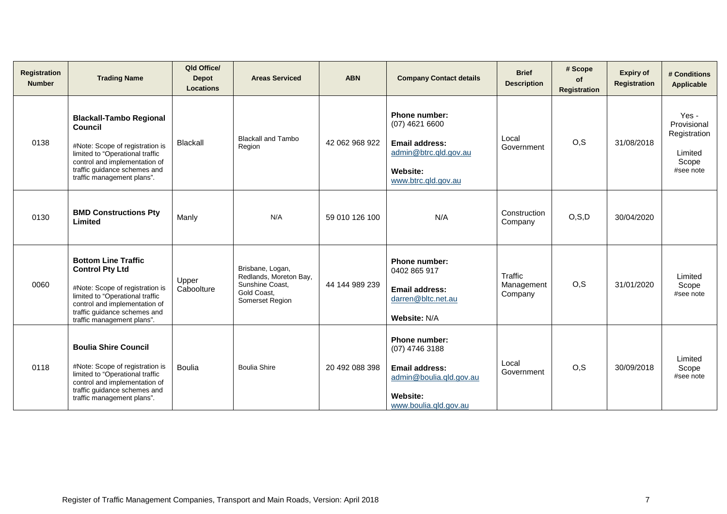| Registration<br><b>Number</b> | <b>Trading Name</b>                                                                                                                                                                                                       | Qld Office/<br><b>Depot</b><br><b>Locations</b> | <b>Areas Serviced</b>                                                                           | <b>ABN</b>     | <b>Company Contact details</b>                                                                                                  | <b>Brief</b><br><b>Description</b> | # Scope<br>of<br>Registration | <b>Expiry of</b><br>Registration | # Conditions<br><b>Applicable</b>                                     |
|-------------------------------|---------------------------------------------------------------------------------------------------------------------------------------------------------------------------------------------------------------------------|-------------------------------------------------|-------------------------------------------------------------------------------------------------|----------------|---------------------------------------------------------------------------------------------------------------------------------|------------------------------------|-------------------------------|----------------------------------|-----------------------------------------------------------------------|
| 0138                          | <b>Blackall-Tambo Regional</b><br>Council<br>#Note: Scope of registration is<br>limited to "Operational traffic<br>control and implementation of<br>traffic guidance schemes and<br>traffic management plans".            | Blackall                                        | <b>Blackall and Tambo</b><br>Region                                                             | 42 062 968 922 | <b>Phone number:</b><br>$(07)$ 4621 6600<br>Email address:<br>admin@btrc.qld.gov.au<br><b>Website:</b><br>www.btrc.qld.gov.au   | Local<br>Government                | O, S                          | 31/08/2018                       | Yes -<br>Provisional<br>Registration<br>Limited<br>Scope<br>#see note |
| 0130                          | <b>BMD Constructions Pty</b><br>Limited                                                                                                                                                                                   | Manly                                           | N/A                                                                                             | 59 010 126 100 | N/A                                                                                                                             | Construction<br>Company            | O, S, D                       | 30/04/2020                       |                                                                       |
| 0060                          | <b>Bottom Line Traffic</b><br><b>Control Pty Ltd</b><br>#Note: Scope of registration is<br>limited to "Operational traffic<br>control and implementation of<br>traffic guidance schemes and<br>traffic management plans". | Upper<br>Caboolture                             | Brisbane, Logan,<br>Redlands, Moreton Bay,<br>Sunshine Coast,<br>Gold Coast,<br>Somerset Region | 44 144 989 239 | <b>Phone number:</b><br>0402 865 917<br><b>Email address:</b><br>darren@bltc.net.au<br>Website: N/A                             | Traffic<br>Management<br>Company   | O, S                          | 31/01/2020                       | Limited<br>Scope<br>#see note                                         |
| 0118                          | <b>Boulia Shire Council</b><br>#Note: Scope of registration is<br>limited to "Operational traffic<br>control and implementation of<br>traffic guidance schemes and<br>traffic management plans".                          | <b>Boulia</b>                                   | <b>Boulia Shire</b>                                                                             | 20 492 088 398 | <b>Phone number:</b><br>(07) 4746 3188<br><b>Email address:</b><br>admin@boulia.qld.gov.au<br>Website:<br>www.boulia.qld.gov.au | Local<br>Government                | O, S                          | 30/09/2018                       | Limited<br>Scope<br>#see note                                         |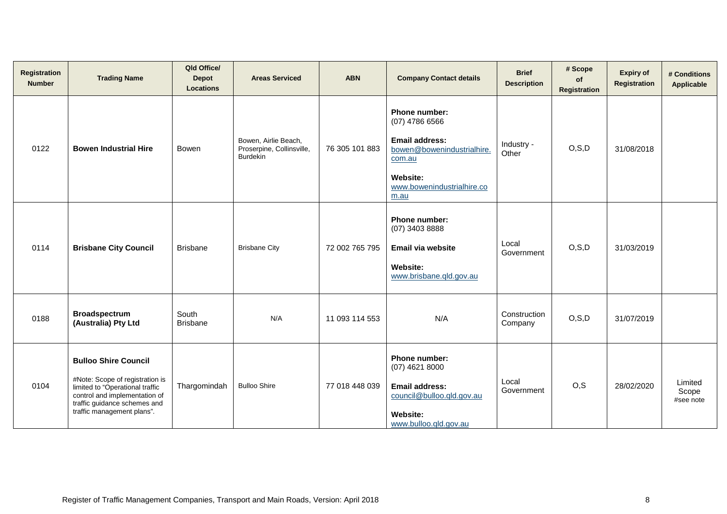| <b>Registration</b><br><b>Number</b> | <b>Trading Name</b>                                                                                                                                                                              | Qld Office/<br><b>Depot</b><br><b>Locations</b> | <b>Areas Serviced</b>                                                | <b>ABN</b>     | <b>Company Contact details</b>                                                                                                                              | <b>Brief</b><br><b>Description</b> | # Scope<br>of<br><b>Registration</b> | <b>Expiry of</b><br><b>Registration</b> | # Conditions<br><b>Applicable</b> |
|--------------------------------------|--------------------------------------------------------------------------------------------------------------------------------------------------------------------------------------------------|-------------------------------------------------|----------------------------------------------------------------------|----------------|-------------------------------------------------------------------------------------------------------------------------------------------------------------|------------------------------------|--------------------------------------|-----------------------------------------|-----------------------------------|
| 0122                                 | <b>Bowen Industrial Hire</b>                                                                                                                                                                     | Bowen                                           | Bowen, Airlie Beach,<br>Proserpine, Collinsville,<br><b>Burdekin</b> | 76 305 101 883 | Phone number:<br>$(07)$ 4786 6566<br><b>Email address:</b><br>bowen@bowenindustrialhire.<br>com.au<br><b>Website:</b><br>www.bowenindustrialhire.co<br>m.au | Industry -<br>Other                | O, S, D                              | 31/08/2018                              |                                   |
| 0114                                 | <b>Brisbane City Council</b>                                                                                                                                                                     | <b>Brisbane</b>                                 | <b>Brisbane City</b>                                                 | 72 002 765 795 | <b>Phone number:</b><br>(07) 3403 8888<br>Email via website<br>Website:<br>www.brisbane.qld.gov.au                                                          | Local<br>Government                | O, S, D                              | 31/03/2019                              |                                   |
| 0188                                 | <b>Broadspectrum</b><br>(Australia) Pty Ltd                                                                                                                                                      | South<br><b>Brisbane</b>                        | N/A                                                                  | 11 093 114 553 | N/A                                                                                                                                                         | Construction<br>Company            | O, S, D                              | 31/07/2019                              |                                   |
| 0104                                 | <b>Bulloo Shire Council</b><br>#Note: Scope of registration is<br>limited to "Operational traffic<br>control and implementation of<br>traffic guidance schemes and<br>traffic management plans". | Thargomindah                                    | <b>Bulloo Shire</b>                                                  | 77 018 448 039 | Phone number:<br>$(07)$ 4621 8000<br><b>Email address:</b><br>council@bulloo.qld.gov.au<br>Website:<br>www.bulloo.qld.gov.au                                | Local<br>Government                | O, S                                 | 28/02/2020                              | Limited<br>Scope<br>#see note     |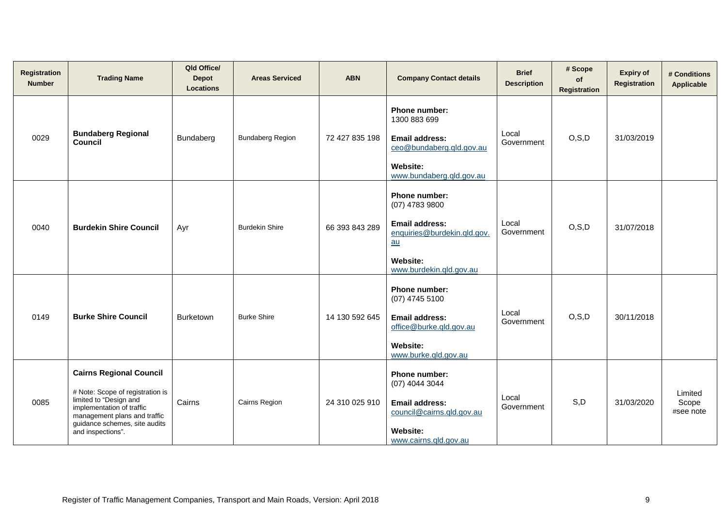| <b>Registration</b><br><b>Number</b> | <b>Trading Name</b>                                                                                                                                                                                             | Qld Office/<br><b>Depot</b><br><b>Locations</b> | <b>Areas Serviced</b>   | <b>ABN</b>     | <b>Company Contact details</b>                                                                                                           | <b>Brief</b><br><b>Description</b> | # Scope<br>of<br><b>Registration</b> | <b>Expiry of</b><br>Registration | # Conditions<br>Applicable    |
|--------------------------------------|-----------------------------------------------------------------------------------------------------------------------------------------------------------------------------------------------------------------|-------------------------------------------------|-------------------------|----------------|------------------------------------------------------------------------------------------------------------------------------------------|------------------------------------|--------------------------------------|----------------------------------|-------------------------------|
| 0029                                 | <b>Bundaberg Regional</b><br><b>Council</b>                                                                                                                                                                     | Bundaberg                                       | <b>Bundaberg Region</b> | 72 427 835 198 | Phone number:<br>1300 883 699<br><b>Email address:</b><br>ceo@bundaberg.qld.gov.au<br>Website:<br>www.bundaberg.qld.gov.au               | Local<br>Government                | O, S, D                              | 31/03/2019                       |                               |
| 0040                                 | <b>Burdekin Shire Council</b>                                                                                                                                                                                   | Ayr                                             | <b>Burdekin Shire</b>   | 66 393 843 289 | Phone number:<br>(07) 4783 9800<br><b>Email address:</b><br>enquiries@burdekin.qld.gov.<br>au<br>Website:<br>www.burdekin.gld.gov.au     | Local<br>Government                | O, S, D                              | 31/07/2018                       |                               |
| 0149                                 | <b>Burke Shire Council</b>                                                                                                                                                                                      | <b>Burketown</b>                                | <b>Burke Shire</b>      | 14 130 592 645 | Phone number:<br>(07) 4745 5100<br><b>Email address:</b><br>office@burke.qld.gov.au<br><b>Website:</b><br>www.burke.gld.gov.au           | Local<br>Government                | O, S, D                              | 30/11/2018                       |                               |
| 0085                                 | <b>Cairns Regional Council</b><br># Note: Scope of registration is<br>limited to "Design and<br>implementation of traffic<br>management plans and traffic<br>guidance schemes, site audits<br>and inspections". | Cairns                                          | Cairns Region           | 24 310 025 910 | <b>Phone number:</b><br>(07) 4044 3044<br><b>Email address:</b><br>council@cairns.qld.gov.au<br><b>Website:</b><br>www.cairns.gld.gov.au | Local<br>Government                | S,D                                  | 31/03/2020                       | Limited<br>Scope<br>#see note |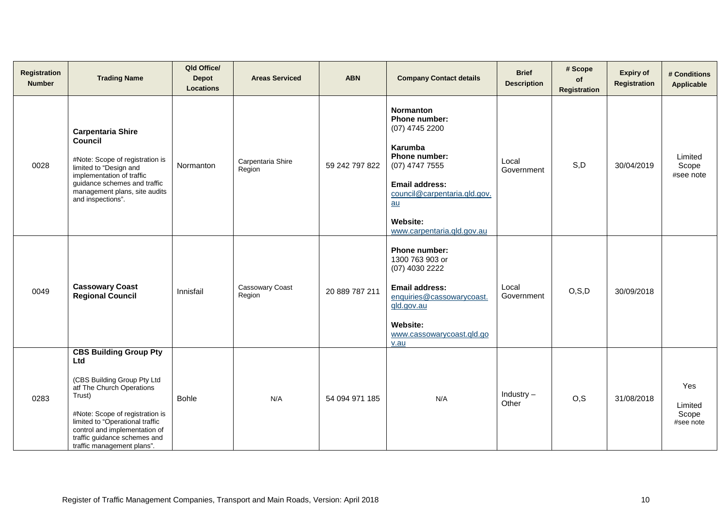| Registration<br><b>Number</b> | <b>Trading Name</b>                                                                                                                                                                                                                                                             | Qld Office/<br><b>Depot</b><br><b>Locations</b> | <b>Areas Serviced</b>            | <b>ABN</b>     | <b>Company Contact details</b>                                                                                                                                                                                    | <b>Brief</b><br><b>Description</b> | # Scope<br>of<br>Registration | <b>Expiry of</b><br><b>Registration</b> | # Conditions<br>Applicable           |
|-------------------------------|---------------------------------------------------------------------------------------------------------------------------------------------------------------------------------------------------------------------------------------------------------------------------------|-------------------------------------------------|----------------------------------|----------------|-------------------------------------------------------------------------------------------------------------------------------------------------------------------------------------------------------------------|------------------------------------|-------------------------------|-----------------------------------------|--------------------------------------|
| 0028                          | <b>Carpentaria Shire</b><br><b>Council</b><br>#Note: Scope of registration is<br>limited to "Design and<br>implementation of traffic<br>guidance schemes and traffic<br>management plans, site audits<br>and inspections".                                                      | Normanton                                       | Carpentaria Shire<br>Region      | 59 242 797 822 | <b>Normanton</b><br>Phone number:<br>(07) 4745 2200<br>Karumba<br>Phone number:<br>(07) 4747 7555<br><b>Email address:</b><br>council@carpentaria.gld.gov.<br>au<br><b>Website:</b><br>www.carpentaria.gld.gov.au | Local<br>Government                | S,D                           | 30/04/2019                              | Limited<br>Scope<br>#see note        |
| 0049                          | <b>Cassowary Coast</b><br><b>Regional Council</b>                                                                                                                                                                                                                               | Innisfail                                       | <b>Cassowary Coast</b><br>Region | 20 889 787 211 | Phone number:<br>1300 763 903 or<br>(07) 4030 2222<br><b>Email address:</b><br>enquiries@cassowarycoast.<br>qld.gov.au<br><b>Website:</b><br>www.cassowarycoast.gld.go<br>v.au                                    | Local<br>Government                | O, S, D                       | 30/09/2018                              |                                      |
| 0283                          | <b>CBS Building Group Pty</b><br>Ltd<br>(CBS Building Group Pty Ltd<br>atf The Church Operations<br>Trust)<br>#Note: Scope of registration is<br>limited to "Operational traffic<br>control and implementation of<br>traffic guidance schemes and<br>traffic management plans". | <b>Bohle</b>                                    | N/A                              | 54 094 971 185 | N/A                                                                                                                                                                                                               | Industry $-$<br>Other              | O, S                          | 31/08/2018                              | Yes<br>Limited<br>Scope<br>#see note |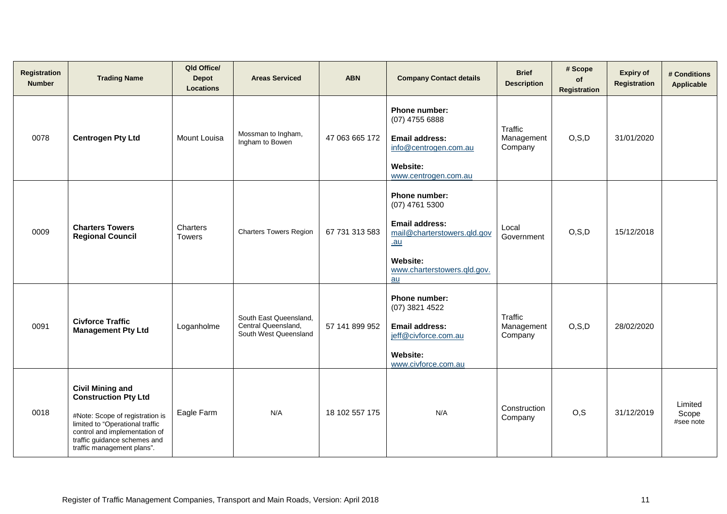| <b>Registration</b><br><b>Number</b> | <b>Trading Name</b>                                                                                                                                                                                                         | Qld Office/<br><b>Depot</b><br><b>Locations</b> | <b>Areas Serviced</b>                                                  | <b>ABN</b>     | <b>Company Contact details</b>                                                                                                                     | <b>Brief</b><br><b>Description</b> | # Scope<br>of<br><b>Registration</b> | <b>Expiry of</b><br>Registration | # Conditions<br>Applicable    |
|--------------------------------------|-----------------------------------------------------------------------------------------------------------------------------------------------------------------------------------------------------------------------------|-------------------------------------------------|------------------------------------------------------------------------|----------------|----------------------------------------------------------------------------------------------------------------------------------------------------|------------------------------------|--------------------------------------|----------------------------------|-------------------------------|
| 0078                                 | <b>Centrogen Pty Ltd</b>                                                                                                                                                                                                    | Mount Louisa                                    | Mossman to Ingham,<br>Ingham to Bowen                                  | 47 063 665 172 | Phone number:<br>(07) 4755 6888<br><b>Email address:</b><br>info@centrogen.com.au<br><b>Website:</b><br>www.centrogen.com.au                       | Traffic<br>Management<br>Company   | O, S, D                              | 31/01/2020                       |                               |
| 0009                                 | <b>Charters Towers</b><br><b>Regional Council</b>                                                                                                                                                                           | Charters<br><b>Towers</b>                       | <b>Charters Towers Region</b>                                          | 67 731 313 583 | Phone number:<br>$(07)$ 4761 5300<br><b>Email address:</b><br>mail@charterstowers.qld.gov<br>$au$<br>Website:<br>www.charterstowers.gld.gov.<br>au | Local<br>Government                | O, S, D                              | 15/12/2018                       |                               |
| 0091                                 | <b>Civforce Traffic</b><br><b>Management Pty Ltd</b>                                                                                                                                                                        | Loganholme                                      | South East Queensland,<br>Central Queensland,<br>South West Queensland | 57 141 899 952 | Phone number:<br>(07) 3821 4522<br><b>Email address:</b><br>jeff@civforce.com.au<br><b>Website:</b><br>www.civforce.com.au                         | Traffic<br>Management<br>Company   | O, S, D                              | 28/02/2020                       |                               |
| 0018                                 | <b>Civil Mining and</b><br><b>Construction Pty Ltd</b><br>#Note: Scope of registration is<br>limited to "Operational traffic<br>control and implementation of<br>traffic guidance schemes and<br>traffic management plans". | Eagle Farm                                      | N/A                                                                    | 18 102 557 175 | N/A                                                                                                                                                | Construction<br>Company            | O, S                                 | 31/12/2019                       | Limited<br>Scope<br>#see note |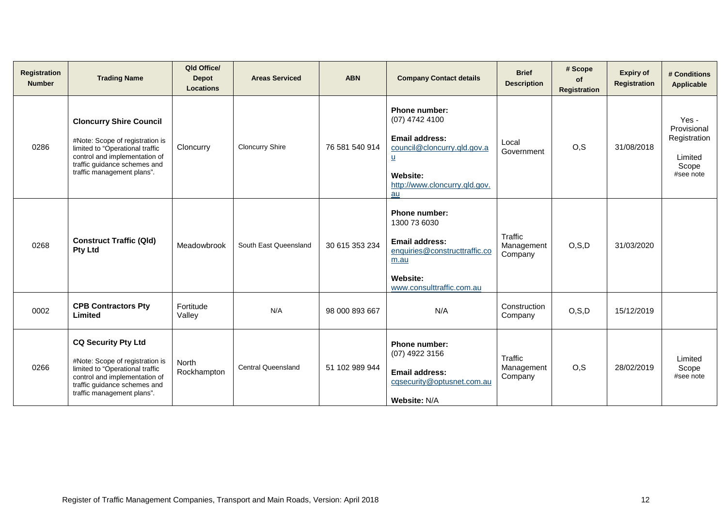| Registration<br><b>Number</b> | <b>Trading Name</b>                                                                                                                                                                                 | Qld Office/<br><b>Depot</b><br><b>Locations</b> | <b>Areas Serviced</b>     | <b>ABN</b>     | <b>Company Contact details</b>                                                                                                                                       | <b>Brief</b><br><b>Description</b> | # Scope<br><b>of</b><br><b>Registration</b> | <b>Expiry of</b><br><b>Registration</b> | # Conditions<br>Applicable                                            |
|-------------------------------|-----------------------------------------------------------------------------------------------------------------------------------------------------------------------------------------------------|-------------------------------------------------|---------------------------|----------------|----------------------------------------------------------------------------------------------------------------------------------------------------------------------|------------------------------------|---------------------------------------------|-----------------------------------------|-----------------------------------------------------------------------|
| 0286                          | <b>Cloncurry Shire Council</b><br>#Note: Scope of registration is<br>limited to "Operational traffic<br>control and implementation of<br>traffic guidance schemes and<br>traffic management plans". | Cloncurry                                       | <b>Cloncurry Shire</b>    | 76 581 540 914 | <b>Phone number:</b><br>(07) 4742 4100<br><b>Email address:</b><br>council@cloncurry.qld.gov.a<br><u>u</u><br><b>Website:</b><br>http://www.cloncurry.gld.gov.<br>au | Local<br>Government                | O, S                                        | 31/08/2018                              | Yes -<br>Provisional<br>Registration<br>Limited<br>Scope<br>#see note |
| 0268                          | <b>Construct Traffic (Qld)</b><br><b>Pty Ltd</b>                                                                                                                                                    | Meadowbrook                                     | South East Queensland     | 30 615 353 234 | <b>Phone number:</b><br>1300 73 6030<br>Email address:<br>enquiries@constructtraffic.co<br>m.au<br><b>Website:</b><br>www.consulttraffic.com.au                      | Traffic<br>Management<br>Company   | O, S, D                                     | 31/03/2020                              |                                                                       |
| 0002                          | <b>CPB Contractors Pty</b><br>Limited                                                                                                                                                               | Fortitude<br>Valley                             | N/A                       | 98 000 893 667 | N/A                                                                                                                                                                  | Construction<br>Company            | O, S, D                                     | 15/12/2019                              |                                                                       |
| 0266                          | <b>CQ Security Pty Ltd</b><br>#Note: Scope of registration is<br>limited to "Operational traffic<br>control and implementation of<br>traffic guidance schemes and<br>traffic management plans".     | <b>North</b><br>Rockhampton                     | <b>Central Queensland</b> | 51 102 989 944 | Phone number:<br>(07) 4922 3156<br><b>Email address:</b><br>cqsecurity@optusnet.com.au<br>Website: N/A                                                               | Traffic<br>Management<br>Company   | O, S                                        | 28/02/2019                              | Limited<br>Scope<br>#see note                                         |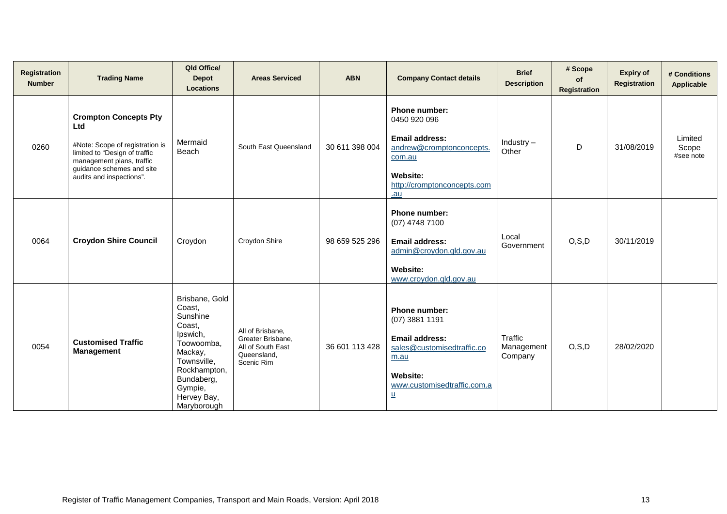| <b>Registration</b><br><b>Number</b> | <b>Trading Name</b>                                                                                                                                                                           | Qld Office/<br><b>Depot</b><br><b>Locations</b>                                                                                                                           | <b>Areas Serviced</b>                                                                   | <b>ABN</b>     | <b>Company Contact details</b>                                                                                                                                 | <b>Brief</b><br><b>Description</b> | # Scope<br>of<br><b>Registration</b> | <b>Expiry of</b><br>Registration | # Conditions<br><b>Applicable</b> |
|--------------------------------------|-----------------------------------------------------------------------------------------------------------------------------------------------------------------------------------------------|---------------------------------------------------------------------------------------------------------------------------------------------------------------------------|-----------------------------------------------------------------------------------------|----------------|----------------------------------------------------------------------------------------------------------------------------------------------------------------|------------------------------------|--------------------------------------|----------------------------------|-----------------------------------|
| 0260                                 | <b>Crompton Concepts Pty</b><br>Ltd<br>#Note: Scope of registration is<br>limited to "Design of traffic<br>management plans, traffic<br>guidance schemes and site<br>audits and inspections". | Mermaid<br>Beach                                                                                                                                                          | South East Queensland                                                                   | 30 611 398 004 | Phone number:<br>0450 920 096<br><b>Email address:</b><br>andrew@cromptonconcepts.<br>com.au<br>Website:<br>http://cromptonconcepts.com<br>.au                 | Industry $-$<br>Other              | D                                    | 31/08/2019                       | Limited<br>Scope<br>#see note     |
| 0064                                 | <b>Croydon Shire Council</b>                                                                                                                                                                  | Croydon                                                                                                                                                                   | Croydon Shire                                                                           | 98 659 525 296 | <b>Phone number:</b><br>(07) 4748 7100<br><b>Email address:</b><br>admin@croydon.qld.gov.au<br>Website:<br>www.croydon.qld.gov.au                              | Local<br>Government                | O, S, D                              | 30/11/2019                       |                                   |
| 0054                                 | <b>Customised Traffic</b><br><b>Management</b>                                                                                                                                                | Brisbane, Gold<br>Coast,<br>Sunshine<br>Coast,<br>Ipswich,<br>Toowoomba,<br>Mackay,<br>Townsville,<br>Rockhampton,<br>Bundaberg,<br>Gympie,<br>Hervey Bay,<br>Maryborough | All of Brisbane,<br>Greater Brisbane,<br>All of South East<br>Queensland,<br>Scenic Rim | 36 601 113 428 | <b>Phone number:</b><br>$(07)$ 3881 1191<br>Email address:<br>sales@customisedtraffic.co<br>m.au<br><b>Website:</b><br>www.customisedtraffic.com.a<br><u>u</u> | Traffic<br>Management<br>Company   | O, S, D                              | 28/02/2020                       |                                   |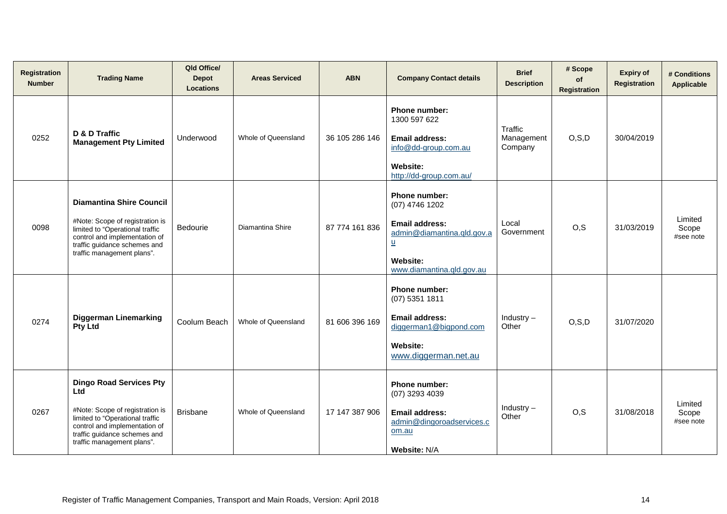| <b>Registration</b><br><b>Number</b> | <b>Trading Name</b>                                                                                                                                                                                               | Qld Office/<br><b>Depot</b><br><b>Locations</b> | <b>Areas Serviced</b> | <b>ABN</b>     | <b>Company Contact details</b>                                                                                                         | <b>Brief</b><br><b>Description</b> | # Scope<br>of<br><b>Registration</b> | <b>Expiry of</b><br>Registration | # Conditions<br><b>Applicable</b> |
|--------------------------------------|-------------------------------------------------------------------------------------------------------------------------------------------------------------------------------------------------------------------|-------------------------------------------------|-----------------------|----------------|----------------------------------------------------------------------------------------------------------------------------------------|------------------------------------|--------------------------------------|----------------------------------|-----------------------------------|
| 0252                                 | D & D Traffic<br><b>Management Pty Limited</b>                                                                                                                                                                    | Underwood                                       | Whole of Queensland   | 36 105 286 146 | Phone number:<br>1300 597 622<br><b>Email address:</b><br>info@dd-group.com.au<br><b>Website:</b><br>http://dd-group.com.au/           | Traffic<br>Management<br>Company   | O, S, D                              | 30/04/2019                       |                                   |
| 0098                                 | <b>Diamantina Shire Council</b><br>#Note: Scope of registration is<br>limited to "Operational traffic<br>control and implementation of<br>traffic guidance schemes and<br>traffic management plans".              | <b>Bedourie</b>                                 | Diamantina Shire      | 87 774 161 836 | Phone number:<br>(07) 4746 1202<br><b>Email address:</b><br>admin@diamantina.qld.gov.a<br>$u$<br>Website:<br>www.diamantina.gld.gov.au | Local<br>Government                | O, S                                 | 31/03/2019                       | Limited<br>Scope<br>#see note     |
| 0274                                 | <b>Diggerman Linemarking</b><br><b>Pty Ltd</b>                                                                                                                                                                    | Coolum Beach                                    | Whole of Queensland   | 81 606 396 169 | Phone number:<br>$(07)$ 5351 1811<br><b>Email address:</b><br>diggerman1@bigpond.com<br>Website:<br>www.diggerman.net.au               | Industry $-$<br>Other              | O, S, D                              | 31/07/2020                       |                                   |
| 0267                                 | <b>Dingo Road Services Pty</b><br><b>Ltd</b><br>#Note: Scope of registration is<br>limited to "Operational traffic<br>control and implementation of<br>traffic guidance schemes and<br>traffic management plans". | <b>Brisbane</b>                                 | Whole of Queensland   | 17 147 387 906 | Phone number:<br>(07) 3293 4039<br><b>Email address:</b><br>admin@dingoroadservices.c<br>om.au<br><b>Website: N/A</b>                  | Industry $-$<br>Other              | O, S                                 | 31/08/2018                       | Limited<br>Scope<br>#see note     |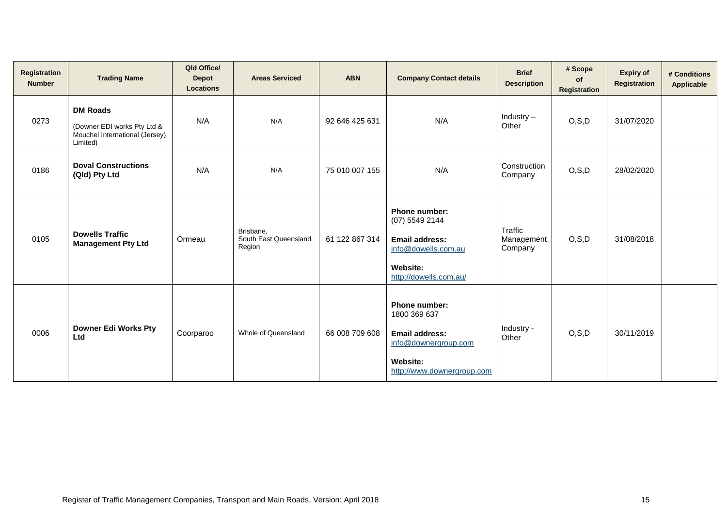| Registration<br><b>Number</b> | <b>Trading Name</b>                                                                          | Qld Office/<br><b>Depot</b><br><b>Locations</b> | <b>Areas Serviced</b>                        | <b>ABN</b>     | <b>Company Contact details</b>                                                                                                      | <b>Brief</b><br><b>Description</b> | # Scope<br>of<br>Registration | <b>Expiry of</b><br>Registration | # Conditions<br><b>Applicable</b> |
|-------------------------------|----------------------------------------------------------------------------------------------|-------------------------------------------------|----------------------------------------------|----------------|-------------------------------------------------------------------------------------------------------------------------------------|------------------------------------|-------------------------------|----------------------------------|-----------------------------------|
| 0273                          | <b>DM Roads</b><br>(Downer EDI works Pty Ltd &<br>Mouchel International (Jersey)<br>Limited) | N/A                                             | N/A                                          | 92 646 425 631 | N/A                                                                                                                                 | Industry $-$<br>Other              | O, S, D                       | 31/07/2020                       |                                   |
| 0186                          | <b>Doval Constructions</b><br>(Qld) Pty Ltd                                                  | N/A                                             | N/A                                          | 75 010 007 155 | N/A                                                                                                                                 | Construction<br>Company            | O, S, D                       | 28/02/2020                       |                                   |
| 0105                          | <b>Dowells Traffic</b><br><b>Management Pty Ltd</b>                                          | Ormeau                                          | Brisbane,<br>South East Queensland<br>Region | 61 122 867 314 | <b>Phone number:</b><br>(07) 5549 2144<br><b>Email address:</b><br>info@dowells.com.au<br><b>Website:</b><br>http://dowells.com.au/ | Traffic<br>Management<br>Company   | O, S, D                       | 31/08/2018                       |                                   |
| 0006                          | <b>Downer Edi Works Pty</b><br>Ltd                                                           | Coorparoo                                       | Whole of Queensland                          | 66 008 709 608 | <b>Phone number:</b><br>1800 369 637<br><b>Email address:</b><br>info@downergroup.com<br>Website:<br>http://www.downergroup.com     | Industry -<br>Other                | O, S, D                       | 30/11/2019                       |                                   |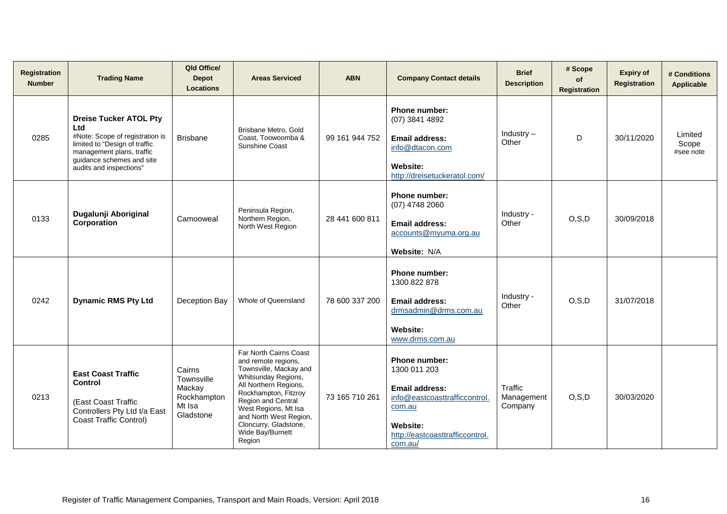| <b>Registration</b><br><b>Number</b> | <b>Trading Name</b>                                                                                                                                                                           | Qld Office/<br><b>Depot</b><br><b>Locations</b>                      | <b>Areas Serviced</b>                                                                                                                                                                                                                                                          | <b>ABN</b>     | <b>Company Contact details</b>                                                                                                                       | <b>Brief</b><br><b>Description</b> | # Scope<br>of<br><b>Registration</b> | <b>Expiry of</b><br><b>Registration</b> | # Conditions<br>Applicable    |
|--------------------------------------|-----------------------------------------------------------------------------------------------------------------------------------------------------------------------------------------------|----------------------------------------------------------------------|--------------------------------------------------------------------------------------------------------------------------------------------------------------------------------------------------------------------------------------------------------------------------------|----------------|------------------------------------------------------------------------------------------------------------------------------------------------------|------------------------------------|--------------------------------------|-----------------------------------------|-------------------------------|
| 0285                                 | <b>Dreise Tucker ATOL Pty</b><br>Ltd<br>#Note: Scope of registration is<br>limited to "Design of traffic<br>management plans, traffic<br>guidance schemes and site<br>audits and inspections" | <b>Brisbane</b>                                                      | Brisbane Metro, Gold<br>Coast, Toowoomba &<br>Sunshine Coast                                                                                                                                                                                                                   | 99 161 944 752 | <b>Phone number:</b><br>(07) 3841 4892<br>Email address:<br>info@dtacon.com<br><b>Website:</b><br>http://dreisetuckeratol.com/                       | Industry $-$<br>Other              | D                                    | 30/11/2020                              | Limited<br>Scope<br>#see note |
| 0133                                 | Dugalunji Aboriginal<br>Corporation                                                                                                                                                           | Camooweal                                                            | Peninsula Region,<br>Northern Region,<br>North West Region                                                                                                                                                                                                                     | 28 441 600 811 | <b>Phone number:</b><br>$(07)$ 4748 2060<br><b>Email address:</b><br>accounts@myuma.org.au<br>Website: N/A                                           | Industry -<br>Other                | O, S, D                              | 30/09/2018                              |                               |
| 0242                                 | <b>Dynamic RMS Pty Ltd</b>                                                                                                                                                                    | Deception Bay                                                        | Whole of Queensland                                                                                                                                                                                                                                                            | 78 600 337 200 | <b>Phone number:</b><br>1300 822 878<br><b>Email address:</b><br>drmsadmin@drms.com.au<br><b>Website:</b><br>www.drms.com.au                         | Industry -<br>Other                | O, S, D                              | 31/07/2018                              |                               |
| 0213                                 | <b>East Coast Traffic</b><br><b>Control</b><br>(East Coast Traffic<br>Controllers Pty Ltd t/a East<br><b>Coast Traffic Control)</b>                                                           | Cairns<br>Townsville<br>Mackay<br>Rockhampton<br>Mt Isa<br>Gladstone | Far North Cairns Coast<br>and remote regions,<br>Townsville, Mackay and<br>Whitsunday Regions,<br>All Northern Regions,<br>Rockhampton, Fitzroy<br>Region and Central<br>West Regions, Mt Isa<br>and North West Region,<br>Cloncurry, Gladstone,<br>Wide Bay/Burnett<br>Region | 73 165 710 261 | Phone number:<br>1300 011 203<br>Email address:<br>info@eastcoasttrafficcontrol.<br>com.au<br>Website:<br>http://eastcoasttrafficcontrol.<br>com.au/ | Traffic<br>Management<br>Company   | O, S, D                              | 30/03/2020                              |                               |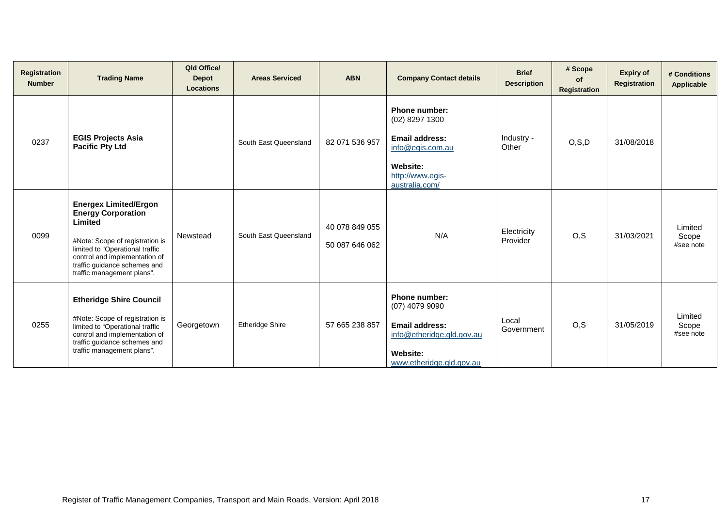| Registration<br><b>Number</b> | <b>Trading Name</b>                                                                                                                                                                                                                       | Qld Office/<br><b>Depot</b><br><b>Locations</b> | <b>Areas Serviced</b>  | <b>ABN</b>                       | <b>Company Contact details</b>                                                                                                         | <b>Brief</b><br><b>Description</b> | # Scope<br><b>of</b><br>Registration | <b>Expiry of</b><br><b>Registration</b> | # Conditions<br>Applicable    |
|-------------------------------|-------------------------------------------------------------------------------------------------------------------------------------------------------------------------------------------------------------------------------------------|-------------------------------------------------|------------------------|----------------------------------|----------------------------------------------------------------------------------------------------------------------------------------|------------------------------------|--------------------------------------|-----------------------------------------|-------------------------------|
| 0237                          | <b>EGIS Projects Asia</b><br><b>Pacific Pty Ltd</b>                                                                                                                                                                                       |                                                 | South East Queensland  | 82 071 536 957                   | <b>Phone number:</b><br>(02) 8297 1300<br><b>Email address:</b><br>info@egis.com.au<br>Website:<br>http://www.egis-<br>australia.com/  | Industry -<br>Other                | O, S, D                              | 31/08/2018                              |                               |
| 0099                          | <b>Energex Limited/Ergon</b><br><b>Energy Corporation</b><br>Limited<br>#Note: Scope of registration is<br>limited to "Operational traffic<br>control and implementation of<br>traffic guidance schemes and<br>traffic management plans". | Newstead                                        | South East Queensland  | 40 078 849 055<br>50 087 646 062 | N/A                                                                                                                                    | Electricity<br>Provider            | O, S                                 | 31/03/2021                              | Limited<br>Scope<br>#see note |
| 0255                          | <b>Etheridge Shire Council</b><br>#Note: Scope of registration is<br>limited to "Operational traffic<br>control and implementation of<br>traffic guidance schemes and<br>traffic management plans".                                       | Georgetown                                      | <b>Etheridge Shire</b> | 57 665 238 857                   | <b>Phone number:</b><br>$(07)$ 4079 9090<br><b>Email address:</b><br>info@etheridge.gld.gov.au<br>Website:<br>www.etheridge.gld.gov.au | Local<br>Government                | O.S                                  | 31/05/2019                              | Limited<br>Scope<br>#see note |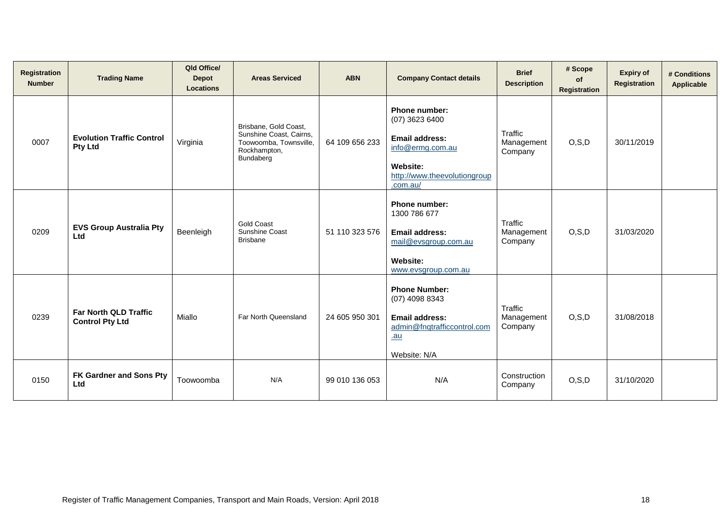| <b>Registration</b><br><b>Number</b> | <b>Trading Name</b>                                    | Qld Office/<br><b>Depot</b><br><b>Locations</b> | <b>Areas Serviced</b>                                                                                   | <b>ABN</b>     | <b>Company Contact details</b>                                                                                                       | <b>Brief</b><br><b>Description</b> | # Scope<br><b>of</b><br><b>Registration</b> | <b>Expiry of</b><br><b>Registration</b> | # Conditions<br>Applicable |
|--------------------------------------|--------------------------------------------------------|-------------------------------------------------|---------------------------------------------------------------------------------------------------------|----------------|--------------------------------------------------------------------------------------------------------------------------------------|------------------------------------|---------------------------------------------|-----------------------------------------|----------------------------|
| 0007                                 | <b>Evolution Traffic Control</b><br><b>Pty Ltd</b>     | Virginia                                        | Brisbane, Gold Coast,<br>Sunshine Coast, Cairns,<br>Toowoomba, Townsville,<br>Rockhampton,<br>Bundaberg | 64 109 656 233 | Phone number:<br>(07) 3623 6400<br><b>Email address:</b><br>info@ermg.com.au<br>Website:<br>http://www.theevolutiongroup<br>.com.au/ | Traffic<br>Management<br>Company   | O, S, D                                     | 30/11/2019                              |                            |
| 0209                                 | <b>EVS Group Australia Pty</b><br>Ltd                  | Beenleigh                                       | <b>Gold Coast</b><br>Sunshine Coast<br><b>Brisbane</b>                                                  | 51 110 323 576 | <b>Phone number:</b><br>1300 786 677<br><b>Email address:</b><br>mail@evsgroup.com.au<br>Website:<br>www.evsgroup.com.au             | Traffic<br>Management<br>Company   | O, S, D                                     | 31/03/2020                              |                            |
| 0239                                 | <b>Far North QLD Traffic</b><br><b>Control Pty Ltd</b> | Miallo                                          | Far North Queensland                                                                                    | 24 605 950 301 | <b>Phone Number:</b><br>(07) 4098 8343<br><b>Email address:</b><br>admin@fnqtrafficcontrol.com<br>$au$<br>Website: N/A               | Traffic<br>Management<br>Company   | O, S, D                                     | 31/08/2018                              |                            |
| 0150                                 | <b>FK Gardner and Sons Pty</b><br>Ltd                  | Toowoomba                                       | N/A                                                                                                     | 99 010 136 053 | N/A                                                                                                                                  | Construction<br>Company            | O, S, D                                     | 31/10/2020                              |                            |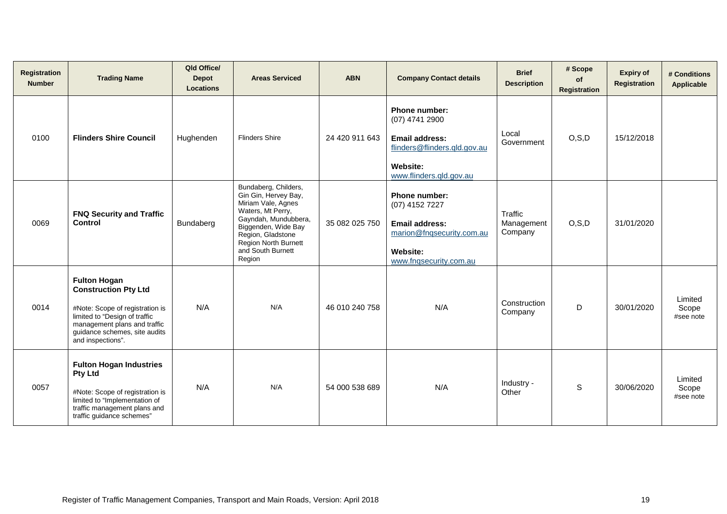| Registration<br><b>Number</b> | <b>Trading Name</b>                                                                                                                                                                                          | Qld Office/<br><b>Depot</b><br><b>Locations</b> | <b>Areas Serviced</b>                                                                                                                                                                                              | <b>ABN</b>     | <b>Company Contact details</b>                                                                                                  | <b>Brief</b><br><b>Description</b> | # Scope<br>of<br>Registration | <b>Expiry of</b><br><b>Registration</b> | # Conditions<br>Applicable    |
|-------------------------------|--------------------------------------------------------------------------------------------------------------------------------------------------------------------------------------------------------------|-------------------------------------------------|--------------------------------------------------------------------------------------------------------------------------------------------------------------------------------------------------------------------|----------------|---------------------------------------------------------------------------------------------------------------------------------|------------------------------------|-------------------------------|-----------------------------------------|-------------------------------|
| 0100                          | <b>Flinders Shire Council</b>                                                                                                                                                                                | Hughenden                                       | <b>Flinders Shire</b>                                                                                                                                                                                              | 24 420 911 643 | Phone number:<br>(07) 4741 2900<br><b>Email address:</b><br>flinders@flinders.qld.gov.au<br>Website:<br>www.flinders.qld.gov.au | Local<br>Government                | O, S, D                       | 15/12/2018                              |                               |
| 0069                          | <b>FNQ Security and Traffic</b><br>Control                                                                                                                                                                   | Bundaberg                                       | Bundaberg, Childers,<br>Gin Gin, Hervey Bay,<br>Miriam Vale, Agnes<br>Waters, Mt Perry,<br>Gayndah, Mundubbera,<br>Biggenden, Wide Bay<br>Region, Gladstone<br>Region North Burnett<br>and South Burnett<br>Region | 35 082 025 750 | Phone number:<br>(07) 4152 7227<br><b>Email address:</b><br>marion@fnqsecurity.com.au<br>Website:<br>www.fnqsecurity.com.au     | Traffic<br>Management<br>Company   | O, S, D                       | 31/01/2020                              |                               |
| 0014                          | <b>Fulton Hogan</b><br><b>Construction Pty Ltd</b><br>#Note: Scope of registration is<br>limited to "Design of traffic<br>management plans and traffic<br>guidance schemes, site audits<br>and inspections". | N/A                                             | N/A                                                                                                                                                                                                                | 46 010 240 758 | N/A                                                                                                                             | Construction<br>Company            | D                             | 30/01/2020                              | Limited<br>Scope<br>#see note |
| 0057                          | <b>Fulton Hogan Industries</b><br><b>Pty Ltd</b><br>#Note: Scope of registration is<br>limited to "Implementation of<br>traffic management plans and<br>traffic guidance schemes"                            | N/A                                             | N/A                                                                                                                                                                                                                | 54 000 538 689 | N/A                                                                                                                             | Industry -<br>Other                | S                             | 30/06/2020                              | Limited<br>Scope<br>#see note |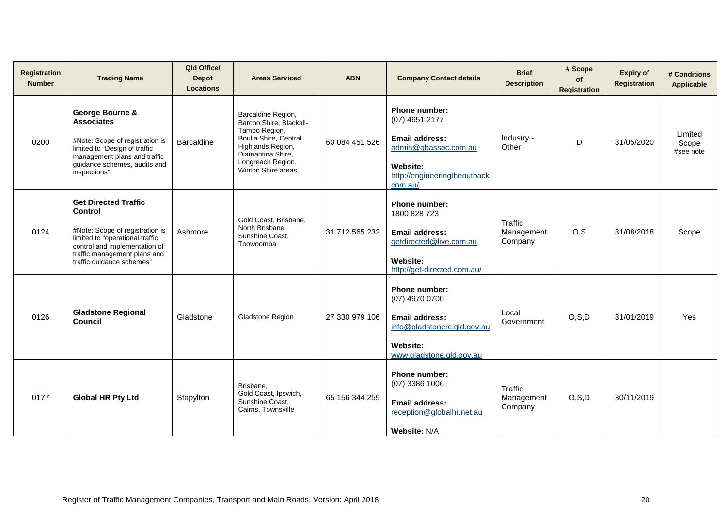| <b>Registration</b><br><b>Number</b> | <b>Trading Name</b>                                                                                                                                                                                        | Qld Office/<br><b>Depot</b><br><b>Locations</b> | <b>Areas Serviced</b>                                                                                                                                                        | <b>ABN</b>     | <b>Company Contact details</b>                                                                                                                  | <b>Brief</b><br><b>Description</b> | # Scope<br>of<br><b>Registration</b> | <b>Expiry of</b><br>Registration | # Conditions<br>Applicable    |
|--------------------------------------|------------------------------------------------------------------------------------------------------------------------------------------------------------------------------------------------------------|-------------------------------------------------|------------------------------------------------------------------------------------------------------------------------------------------------------------------------------|----------------|-------------------------------------------------------------------------------------------------------------------------------------------------|------------------------------------|--------------------------------------|----------------------------------|-------------------------------|
| 0200                                 | George Bourne &<br><b>Associates</b><br>#Note: Scope of registration is<br>limited to "Design of traffic<br>management plans and traffic<br>guidance schemes, audits and<br>inspections".                  | Barcaldine                                      | Barcaldine Region,<br>Barcoo Shire, Blackall-<br>Tambo Region,<br>Boulia Shire, Central<br>Highlands Region,<br>Diamantina Shire,<br>Longreach Region,<br>Winton Shire areas | 60 084 451 526 | <b>Phone number:</b><br>(07) 4651 2177<br><b>Email address:</b><br>admin@gbassoc.com.au<br>Website:<br>http://engineeringtheoutback.<br>com.au/ | Industry -<br>Other                | D                                    | 31/05/2020                       | Limited<br>Scope<br>#see note |
| 0124                                 | <b>Get Directed Traffic</b><br>Control<br>#Note: Scope of registration is<br>limited to "operational traffic<br>control and implementation of<br>traffic management plans and<br>traffic guidance schemes" | Ashmore                                         | Gold Coast, Brisbane,<br>North Brisbane,<br>Sunshine Coast,<br>Toowoomba                                                                                                     | 31 712 565 232 | Phone number:<br>1800 828 723<br>Email address:<br>getdirected@live.com.au<br><b>Website:</b><br>http://get-directed.com.au/                    | Traffic<br>Management<br>Company   | O, S                                 | 31/08/2018                       | Scope                         |
| 0126                                 | <b>Gladstone Regional</b><br><b>Council</b>                                                                                                                                                                | Gladstone                                       | Gladstone Region                                                                                                                                                             | 27 330 979 106 | <b>Phone number:</b><br>(07) 4970 0700<br><b>Email address:</b><br>info@gladstonerc.gld.gov.au<br>Website:<br>www.gladstone.gld.gov.au          | Local<br>Government                | O, S, D                              | 31/01/2019                       | Yes                           |
| 0177                                 | <b>Global HR Pty Ltd</b>                                                                                                                                                                                   | Stapylton                                       | Brisbane,<br>Gold Coast, Ipswich,<br>Sunshine Coast.<br>Cairns, Townsville                                                                                                   | 65 156 344 259 | Phone number:<br>$(07)$ 3386 1006<br>Email address:<br>reception@globalhr.net.au<br>Website: N/A                                                | Traffic<br>Management<br>Company   | O, S, D                              | 30/11/2019                       |                               |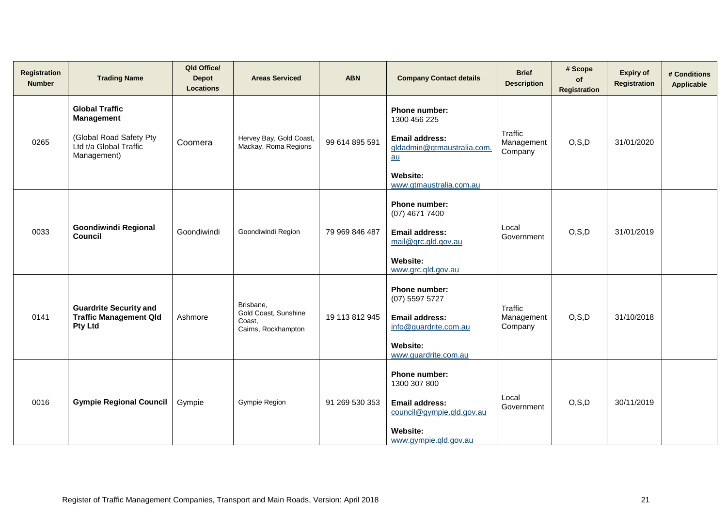| <b>Registration</b><br><b>Number</b> | <b>Trading Name</b>                                                                                            | Qld Office/<br><b>Depot</b><br><b>Locations</b> | <b>Areas Serviced</b>                                              | <b>ABN</b>     | <b>Company Contact details</b>                                                                                                           | <b>Brief</b><br><b>Description</b> | # Scope<br>of<br><b>Registration</b> | <b>Expiry of</b><br><b>Registration</b> | # Conditions<br>Applicable |
|--------------------------------------|----------------------------------------------------------------------------------------------------------------|-------------------------------------------------|--------------------------------------------------------------------|----------------|------------------------------------------------------------------------------------------------------------------------------------------|------------------------------------|--------------------------------------|-----------------------------------------|----------------------------|
| 0265                                 | <b>Global Traffic</b><br><b>Management</b><br>(Global Road Safety Pty<br>Ltd t/a Global Traffic<br>Management) | Coomera                                         | Hervey Bay, Gold Coast,<br>Mackay, Roma Regions                    | 99 614 895 591 | Phone number:<br>1300 456 225<br><b>Email address:</b><br>gldadmin@gtmaustralia.com.<br>au<br><b>Website:</b><br>www.gtmaustralia.com.au | Traffic<br>Management<br>Company   | O, S, D                              | 31/01/2020                              |                            |
| 0033                                 | <b>Goondiwindi Regional</b><br>Council                                                                         | Goondiwindi                                     | Goondiwindi Region                                                 | 79 969 846 487 | Phone number:<br>(07) 4671 7400<br><b>Email address:</b><br>mail@grc.gld.gov.au<br>Website:<br>www.grc.gld.gov.au                        | Local<br>Government                | O, S, D                              | 31/01/2019                              |                            |
| 0141                                 | <b>Guardrite Security and</b><br><b>Traffic Management Qld</b><br><b>Pty Ltd</b>                               | Ashmore                                         | Brisbane,<br>Gold Coast, Sunshine<br>Coast,<br>Cairns, Rockhampton | 19 113 812 945 | Phone number:<br>$(07)$ 5597 5727<br><b>Email address:</b><br>info@guardrite.com.au<br>Website:<br>www.guardrite.com.au                  | Traffic<br>Management<br>Company   | O, S, D                              | 31/10/2018                              |                            |
| 0016                                 | <b>Gympie Regional Council</b>                                                                                 | Gympie                                          | Gympie Region                                                      | 91 269 530 353 | Phone number:<br>1300 307 800<br><b>Email address:</b><br>council@gympie.qld.gov.au<br>Website:<br>www.gympie.qld.gov.au                 | Local<br>Government                | O, S, D                              | 30/11/2019                              |                            |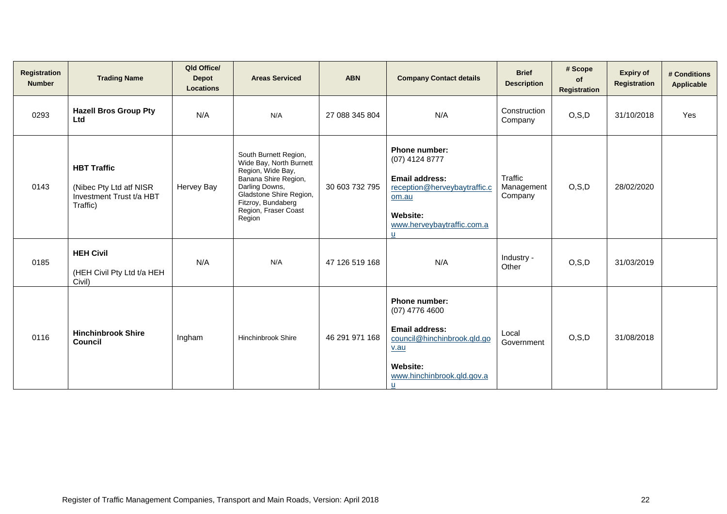| Registration<br><b>Number</b> | <b>Trading Name</b>                                                                   | Qld Office/<br><b>Depot</b><br><b>Locations</b> | <b>Areas Serviced</b>                                                                                                                                                                              | <b>ABN</b>     | <b>Company Contact details</b>                                                                                                                   | <b>Brief</b><br><b>Description</b> | # Scope<br><b>of</b><br>Registration | <b>Expiry of</b><br><b>Registration</b> | # Conditions<br>Applicable |
|-------------------------------|---------------------------------------------------------------------------------------|-------------------------------------------------|----------------------------------------------------------------------------------------------------------------------------------------------------------------------------------------------------|----------------|--------------------------------------------------------------------------------------------------------------------------------------------------|------------------------------------|--------------------------------------|-----------------------------------------|----------------------------|
| 0293                          | <b>Hazell Bros Group Pty</b><br>Ltd                                                   | N/A                                             | N/A                                                                                                                                                                                                | 27 088 345 804 | N/A                                                                                                                                              | Construction<br>Company            | O, S, D                              | 31/10/2018                              | Yes                        |
| 0143                          | <b>HBT Traffic</b><br>(Nibec Pty Ltd atf NISR<br>Investment Trust t/a HBT<br>Traffic) | Hervey Bay                                      | South Burnett Region,<br>Wide Bay, North Burnett<br>Region, Wide Bay,<br>Banana Shire Region,<br>Darling Downs,<br>Gladstone Shire Region,<br>Fitzroy, Bundaberg<br>Region, Fraser Coast<br>Region | 30 603 732 795 | Phone number:<br>(07) 4124 8777<br>Email address:<br>reception@herveybaytraffic.c<br>om.au<br>Website:<br>www.herveybaytraffic.com.a<br>ū        | Traffic<br>Management<br>Company   | O, S, D                              | 28/02/2020                              |                            |
| 0185                          | <b>HEH Civil</b><br>(HEH Civil Pty Ltd t/a HEH<br>Civil)                              | N/A                                             | N/A                                                                                                                                                                                                | 47 126 519 168 | N/A                                                                                                                                              | Industry -<br>Other                | O, S, D                              | 31/03/2019                              |                            |
| 0116                          | <b>Hinchinbrook Shire</b><br>Council                                                  | Ingham                                          | Hinchinbrook Shire                                                                                                                                                                                 | 46 291 971 168 | <b>Phone number:</b><br>$(07)$ 4776 4600<br>Email address:<br>council@hinchinbrook.gld.go<br>v.au<br>Website:<br>www.hinchinbrook.gld.gov.a<br>u | Local<br>Government                | O, S, D                              | 31/08/2018                              |                            |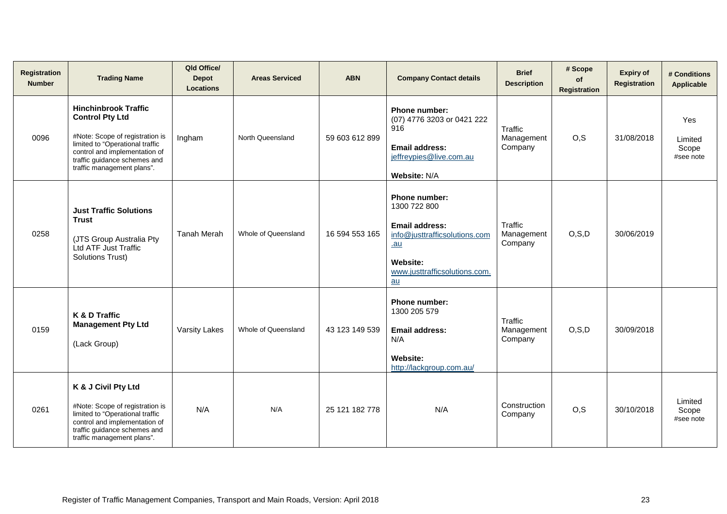| Registration<br><b>Number</b> | <b>Trading Name</b>                                                                                                                                                                                                        | Qld Office/<br><b>Depot</b><br><b>Locations</b> | <b>Areas Serviced</b> | <b>ABN</b>     | <b>Company Contact details</b>                                                                                                                       | <b>Brief</b><br><b>Description</b> | # Scope<br>of<br><b>Registration</b> | <b>Expiry of</b><br><b>Registration</b> | # Conditions<br>Applicable           |
|-------------------------------|----------------------------------------------------------------------------------------------------------------------------------------------------------------------------------------------------------------------------|-------------------------------------------------|-----------------------|----------------|------------------------------------------------------------------------------------------------------------------------------------------------------|------------------------------------|--------------------------------------|-----------------------------------------|--------------------------------------|
| 0096                          | <b>Hinchinbrook Traffic</b><br><b>Control Pty Ltd</b><br>#Note: Scope of registration is<br>limited to "Operational traffic<br>control and implementation of<br>traffic guidance schemes and<br>traffic management plans". | Ingham                                          | North Queensland      | 59 603 612 899 | Phone number:<br>(07) 4776 3203 or 0421 222<br>916<br><b>Email address:</b><br>jeffreypies@live.com.au<br>Website: N/A                               | Traffic<br>Management<br>Company   | O, S                                 | 31/08/2018                              | Yes<br>Limited<br>Scope<br>#see note |
| 0258                          | <b>Just Traffic Solutions</b><br><b>Trust</b><br>(JTS Group Australia Pty<br>Ltd ATF Just Traffic<br><b>Solutions Trust)</b>                                                                                               | <b>Tanah Merah</b>                              | Whole of Queensland   | 16 594 553 165 | Phone number:<br>1300 722 800<br><b>Email address:</b><br>info@justtrafficsolutions.com<br>$au$<br>Website:<br>www.justtrafficsolutions.com.<br>$au$ | Traffic<br>Management<br>Company   | O, S, D                              | 30/06/2019                              |                                      |
| 0159                          | K & D Traffic<br><b>Management Pty Ltd</b><br>(Lack Group)                                                                                                                                                                 | <b>Varsity Lakes</b>                            | Whole of Queensland   | 43 123 149 539 | <b>Phone number:</b><br>1300 205 579<br><b>Email address:</b><br>N/A<br><b>Website:</b><br>http://lackgroup.com.au/                                  | Traffic<br>Management<br>Company   | O, S, D                              | 30/09/2018                              |                                      |
| 0261                          | K & J Civil Pty Ltd<br>#Note: Scope of registration is<br>limited to "Operational traffic<br>control and implementation of<br>traffic guidance schemes and<br>traffic management plans".                                   | N/A                                             | N/A                   | 25 121 182 778 | N/A                                                                                                                                                  | Construction<br>Company            | O, S                                 | 30/10/2018                              | Limited<br>Scope<br>#see note        |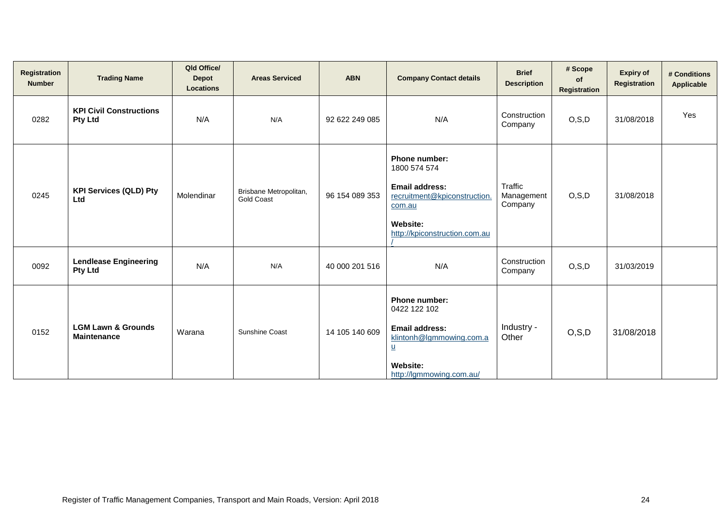| Registration<br><b>Number</b> | <b>Trading Name</b>                                 | Qld Office/<br><b>Depot</b><br><b>Locations</b> | <b>Areas Serviced</b>                       | <b>ABN</b>     | <b>Company Contact details</b>                                                                                                                                       | <b>Brief</b><br><b>Description</b> | # Scope<br>of<br><b>Registration</b> | <b>Expiry of</b><br>Registration | # Conditions<br>Applicable |
|-------------------------------|-----------------------------------------------------|-------------------------------------------------|---------------------------------------------|----------------|----------------------------------------------------------------------------------------------------------------------------------------------------------------------|------------------------------------|--------------------------------------|----------------------------------|----------------------------|
| 0282                          | <b>KPI Civil Constructions</b><br><b>Pty Ltd</b>    | N/A                                             | N/A                                         | 92 622 249 085 | N/A                                                                                                                                                                  | Construction<br>Company            | O, S, D                              | 31/08/2018                       | Yes                        |
| 0245                          | <b>KPI Services (QLD) Pty</b><br>Ltd                | Molendinar                                      | Brisbane Metropolitan,<br><b>Gold Coast</b> | 96 154 089 353 | <b>Phone number:</b><br>1800 574 574<br><b>Email address:</b><br>recruitment@kpiconstruction.<br>com.au<br>Website:<br>http://kpiconstruction.com.au                 | Traffic<br>Management<br>Company   | O, S, D                              | 31/08/2018                       |                            |
| 0092                          | <b>Lendlease Engineering</b><br><b>Pty Ltd</b>      | N/A                                             | N/A                                         | 40 000 201 516 | N/A                                                                                                                                                                  | Construction<br>Company            | O, S, D                              | 31/03/2019                       |                            |
| 0152                          | <b>LGM Lawn &amp; Grounds</b><br><b>Maintenance</b> | Warana                                          | <b>Sunshine Coast</b>                       | 14 105 140 609 | <b>Phone number:</b><br>0422 122 102<br><b>Email address:</b><br>klintonh@lgmmowing.com.a<br>$\underline{\mathsf{u}}$<br><b>Website:</b><br>http://lgmmowing.com.au/ | Industry -<br>Other                | O, S, D                              | 31/08/2018                       |                            |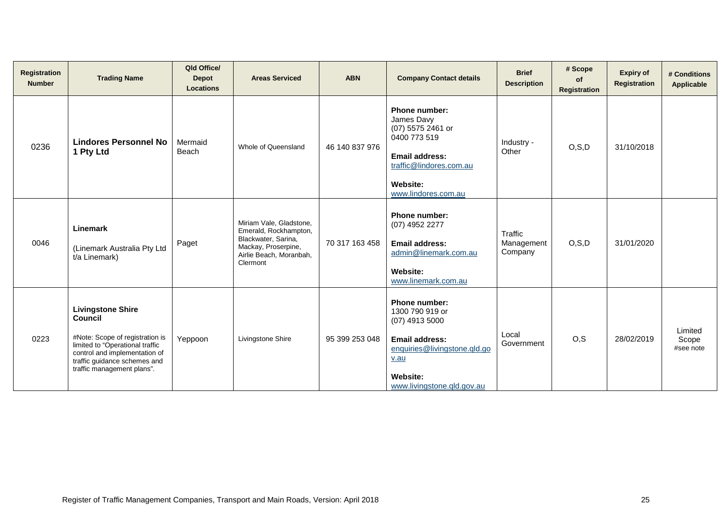| Registration<br><b>Number</b> | <b>Trading Name</b>                                                                                                                                                                                      | Qld Office/<br><b>Depot</b><br><b>Locations</b> | <b>Areas Serviced</b>                                                                                                                 | <b>ABN</b>     | <b>Company Contact details</b>                                                                                                                                  | <b>Brief</b><br><b>Description</b> | # Scope<br>of<br><b>Registration</b> | <b>Expiry of</b><br><b>Registration</b> | # Conditions<br><b>Applicable</b> |
|-------------------------------|----------------------------------------------------------------------------------------------------------------------------------------------------------------------------------------------------------|-------------------------------------------------|---------------------------------------------------------------------------------------------------------------------------------------|----------------|-----------------------------------------------------------------------------------------------------------------------------------------------------------------|------------------------------------|--------------------------------------|-----------------------------------------|-----------------------------------|
| 0236                          | <b>Lindores Personnel No</b><br>1 Pty Ltd                                                                                                                                                                | Mermaid<br>Beach                                | Whole of Queensland                                                                                                                   | 46 140 837 976 | <b>Phone number:</b><br>James Davy<br>(07) 5575 2461 or<br>0400 773 519<br>Email address:<br>traffic@lindores.com.au<br>Website:<br>www.lindores.com.au         | Industry -<br>Other                | O, S, D                              | 31/10/2018                              |                                   |
| 0046                          | Linemark<br>(Linemark Australia Pty Ltd<br>t/a Linemark)                                                                                                                                                 | Paget                                           | Miriam Vale, Gladstone,<br>Emerald, Rockhampton,<br>Blackwater, Sarina,<br>Mackay, Proserpine,<br>Airlie Beach, Moranbah,<br>Clermont | 70 317 163 458 | <b>Phone number:</b><br>(07) 4952 2277<br><b>Email address:</b><br>admin@linemark.com.au<br><b>Website:</b><br>www.linemark.com.au                              | Traffic<br>Management<br>Company   | O, S, D                              | 31/01/2020                              |                                   |
| 0223                          | <b>Livingstone Shire</b><br>Council<br>#Note: Scope of registration is<br>limited to "Operational traffic<br>control and implementation of<br>traffic guidance schemes and<br>traffic management plans". | Yeppoon                                         | Livingstone Shire                                                                                                                     | 95 399 253 048 | <b>Phone number:</b><br>1300 790 919 or<br>$(07)$ 4913 5000<br>Email address:<br>enquiries@livingstone.qld.go<br>v.au<br>Website:<br>www.livingstone.qld.gov.au | Local<br>Government                | O, S                                 | 28/02/2019                              | Limited<br>Scope<br>#see note     |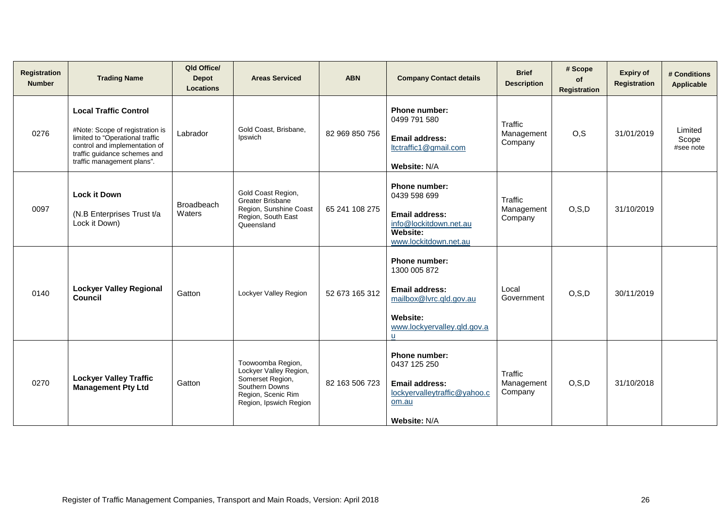| <b>Registration</b><br><b>Number</b> | <b>Trading Name</b>                                                                                                                                                                               | Qld Office/<br><b>Depot</b><br><b>Locations</b> | <b>Areas Serviced</b>                                                                                                             | <b>ABN</b>     | <b>Company Contact details</b>                                                                                                                   | <b>Brief</b><br><b>Description</b> | # Scope<br>of<br><b>Registration</b> | <b>Expiry of</b><br><b>Registration</b> | # Conditions<br>Applicable    |
|--------------------------------------|---------------------------------------------------------------------------------------------------------------------------------------------------------------------------------------------------|-------------------------------------------------|-----------------------------------------------------------------------------------------------------------------------------------|----------------|--------------------------------------------------------------------------------------------------------------------------------------------------|------------------------------------|--------------------------------------|-----------------------------------------|-------------------------------|
| 0276                                 | <b>Local Traffic Control</b><br>#Note: Scope of registration is<br>limited to "Operational traffic<br>control and implementation of<br>traffic guidance schemes and<br>traffic management plans". | Labrador                                        | Gold Coast, Brisbane,<br>Ipswich                                                                                                  | 82 969 850 756 | Phone number:<br>0499 791 580<br><b>Email address:</b><br>ltctraffic1@gmail.com<br>Website: N/A                                                  | Traffic<br>Management<br>Company   | O, S                                 | 31/01/2019                              | Limited<br>Scope<br>#see note |
| 0097                                 | <b>Lock it Down</b><br>(N.B Enterprises Trust t/a<br>Lock it Down)                                                                                                                                | <b>Broadbeach</b><br>Waters                     | Gold Coast Region,<br>Greater Brisbane<br>Region, Sunshine Coast<br>Region, South East<br>Queensland                              | 65 241 108 275 | <b>Phone number:</b><br>0439 598 699<br>Email address:<br>info@lockitdown.net.au<br><b>Website:</b><br>www.lockitdown.net.au                     | Traffic<br>Management<br>Company   | O, S, D                              | 31/10/2019                              |                               |
| 0140                                 | <b>Lockyer Valley Regional</b><br>Council                                                                                                                                                         | Gatton                                          | Lockyer Valley Region                                                                                                             | 52 673 165 312 | <b>Phone number:</b><br>1300 005 872<br><b>Email address:</b><br>mailbox@lvrc.qld.gov.au<br><b>Website:</b><br>www.lockyervalley.qld.gov.a<br>u. | Local<br>Government                | O, S, D                              | 30/11/2019                              |                               |
| 0270                                 | <b>Lockyer Valley Traffic</b><br><b>Management Pty Ltd</b>                                                                                                                                        | Gatton                                          | Toowoomba Region,<br>Lockyer Valley Region,<br>Somerset Region,<br>Southern Downs<br>Region, Scenic Rim<br>Region, Ipswich Region | 82 163 506 723 | <b>Phone number:</b><br>0437 125 250<br><b>Email address:</b><br>lockyervalleytraffic@yahoo.c<br>om.au<br>Website: N/A                           | Traffic<br>Management<br>Company   | O, S, D                              | 31/10/2018                              |                               |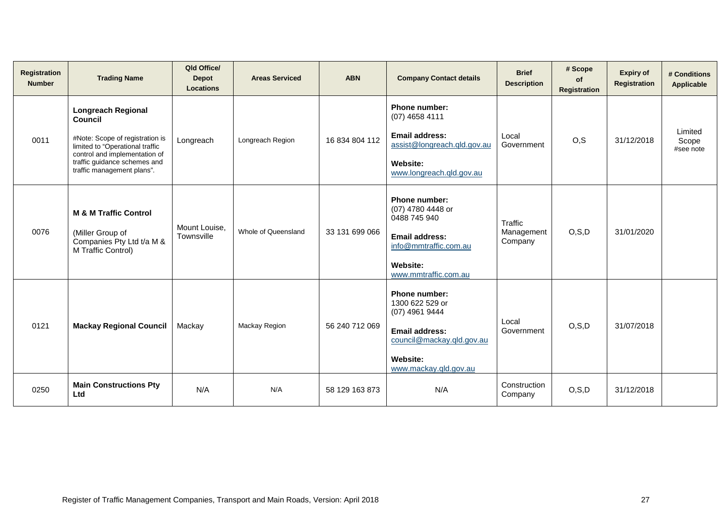| <b>Registration</b><br><b>Number</b> | <b>Trading Name</b>                                                                                                                                                                                       | Qld Office/<br><b>Depot</b><br><b>Locations</b> | <b>Areas Serviced</b> | <b>ABN</b>     | <b>Company Contact details</b>                                                                                                                  | <b>Brief</b><br><b>Description</b> | # Scope<br>of<br><b>Registration</b> | <b>Expiry of</b><br><b>Registration</b> | # Conditions<br>Applicable    |
|--------------------------------------|-----------------------------------------------------------------------------------------------------------------------------------------------------------------------------------------------------------|-------------------------------------------------|-----------------------|----------------|-------------------------------------------------------------------------------------------------------------------------------------------------|------------------------------------|--------------------------------------|-----------------------------------------|-------------------------------|
| 0011                                 | <b>Longreach Regional</b><br>Council<br>#Note: Scope of registration is<br>limited to "Operational traffic<br>control and implementation of<br>traffic guidance schemes and<br>traffic management plans". | Longreach                                       | Longreach Region      | 16 834 804 112 | Phone number:<br>(07) 4658 4111<br>Email address:<br>assist@longreach.qld.gov.au<br>Website:<br>www.longreach.qld.gov.au                        | Local<br>Government                | O, S                                 | 31/12/2018                              | Limited<br>Scope<br>#see note |
| 0076                                 | <b>M &amp; M Traffic Control</b><br>(Miller Group of<br>Companies Pty Ltd t/a M &<br>M Traffic Control)                                                                                                   | Mount Louise,<br>Townsville                     | Whole of Queensland   | 33 131 699 066 | Phone number:<br>(07) 4780 4448 or<br>0488 745 940<br><b>Email address:</b><br>info@mmtraffic.com.au<br><b>Website:</b><br>www.mmtraffic.com.au | Traffic<br>Management<br>Company   | O, S, D                              | 31/01/2020                              |                               |
| 0121                                 | <b>Mackay Regional Council</b>                                                                                                                                                                            | Mackay                                          | Mackay Region         | 56 240 712 069 | Phone number:<br>1300 622 529 or<br>(07) 4961 9444<br>Email address:<br>council@mackay.qld.gov.au<br>Website:<br>www.mackay.qld.gov.au          | Local<br>Government                | O, S, D                              | 31/07/2018                              |                               |
| 0250                                 | <b>Main Constructions Pty</b><br>Ltd                                                                                                                                                                      | N/A                                             | N/A                   | 58 129 163 873 | N/A                                                                                                                                             | Construction<br>Company            | O, S, D                              | 31/12/2018                              |                               |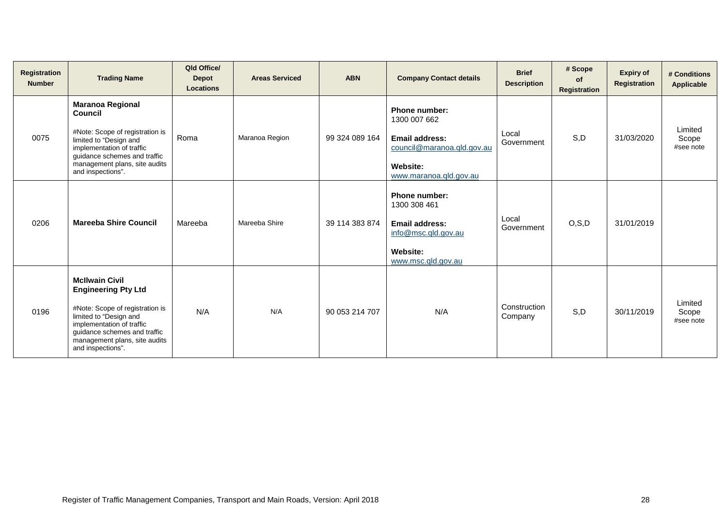| Registration<br><b>Number</b> | <b>Trading Name</b>                                                                                                                                                                                                                 | Qld Office/<br><b>Depot</b><br><b>Locations</b> | <b>Areas Serviced</b> | <b>ABN</b>     | <b>Company Contact details</b>                                                                                                    | <b>Brief</b><br><b>Description</b> | # Scope<br>of<br>Registration | <b>Expiry of</b><br><b>Registration</b> | # Conditions<br><b>Applicable</b> |
|-------------------------------|-------------------------------------------------------------------------------------------------------------------------------------------------------------------------------------------------------------------------------------|-------------------------------------------------|-----------------------|----------------|-----------------------------------------------------------------------------------------------------------------------------------|------------------------------------|-------------------------------|-----------------------------------------|-----------------------------------|
| 0075                          | <b>Maranoa Regional</b><br>Council<br>#Note: Scope of registration is<br>limited to "Design and<br>implementation of traffic<br>guidance schemes and traffic<br>management plans, site audits<br>and inspections".                  | Roma                                            | Maranoa Region        | 99 324 089 164 | <b>Phone number:</b><br>1300 007 662<br>Email address:<br>council@maranoa.gld.gov.au<br><b>Website:</b><br>www.maranoa.qld.gov.au | Local<br>Government                | S,D                           | 31/03/2020                              | Limited<br>Scope<br>#see note     |
| 0206                          | <b>Mareeba Shire Council</b>                                                                                                                                                                                                        | Mareeba                                         | Mareeba Shire         | 39 114 383 874 | <b>Phone number:</b><br>1300 308 461<br>Email address:<br>info@msc.qld.gov.au<br>Website:<br>www.msc.qld.gov.au                   | Local<br>Government                | O, S, D                       | 31/01/2019                              |                                   |
| 0196                          | <b>McIlwain Civil</b><br><b>Engineering Pty Ltd</b><br>#Note: Scope of registration is<br>limited to "Design and<br>implementation of traffic<br>guidance schemes and traffic<br>management plans, site audits<br>and inspections". | N/A                                             | N/A                   | 90 053 214 707 | N/A                                                                                                                               | Construction<br>Company            | S,D                           | 30/11/2019                              | Limited<br>Scope<br>#see note     |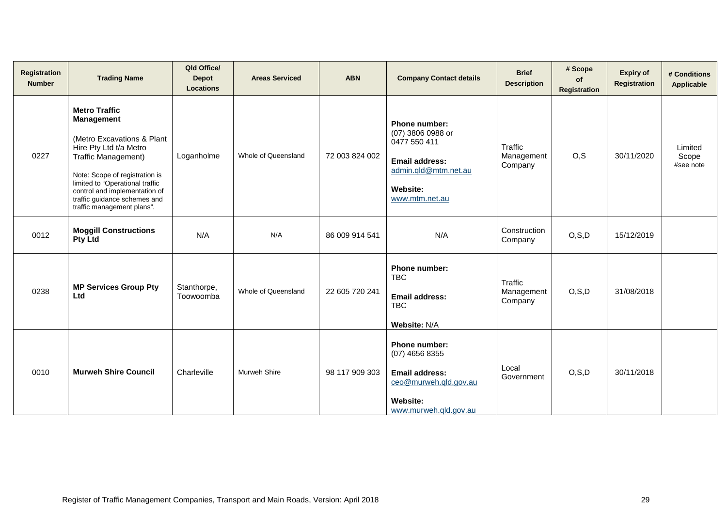| Registration<br><b>Number</b> | <b>Trading Name</b>                                                                                                                                                                                                                                                                          | Qld Office/<br><b>Depot</b><br><b>Locations</b> | <b>Areas Serviced</b> | <b>ABN</b>     | <b>Company Contact details</b>                                                                                                           | <b>Brief</b><br><b>Description</b> | # Scope<br>of<br>Registration | <b>Expiry of</b><br><b>Registration</b> | # Conditions<br>Applicable    |
|-------------------------------|----------------------------------------------------------------------------------------------------------------------------------------------------------------------------------------------------------------------------------------------------------------------------------------------|-------------------------------------------------|-----------------------|----------------|------------------------------------------------------------------------------------------------------------------------------------------|------------------------------------|-------------------------------|-----------------------------------------|-------------------------------|
| 0227                          | <b>Metro Traffic</b><br><b>Management</b><br>(Metro Excavations & Plant<br>Hire Pty Ltd t/a Metro<br>Traffic Management)<br>Note: Scope of registration is<br>limited to "Operational traffic<br>control and implementation of<br>traffic guidance schemes and<br>traffic management plans". | Loganholme                                      | Whole of Queensland   | 72 003 824 002 | <b>Phone number:</b><br>(07) 3806 0988 or<br>0477 550 411<br><b>Email address:</b><br>admin.qld@mtm.net.au<br>Website:<br>www.mtm.net.au | Traffic<br>Management<br>Company   | O, S                          | 30/11/2020                              | Limited<br>Scope<br>#see note |
| 0012                          | <b>Moggill Constructions</b><br><b>Pty Ltd</b>                                                                                                                                                                                                                                               | N/A                                             | N/A                   | 86 009 914 541 | N/A                                                                                                                                      | Construction<br>Company            | O, S, D                       | 15/12/2019                              |                               |
| 0238                          | <b>MP Services Group Pty</b><br>Ltd                                                                                                                                                                                                                                                          | Stanthorpe,<br>Toowoomba                        | Whole of Queensland   | 22 605 720 241 | Phone number:<br><b>TBC</b><br><b>Email address:</b><br><b>TBC</b><br>Website: N/A                                                       | Traffic<br>Management<br>Company   | O, S, D                       | 31/08/2018                              |                               |
| 0010                          | <b>Murweh Shire Council</b>                                                                                                                                                                                                                                                                  | Charleville                                     | <b>Murweh Shire</b>   | 98 117 909 303 | Phone number:<br>(07) 4656 8355<br><b>Email address:</b><br>ceo@murweh.qld.gov.au<br><b>Website:</b><br>www.murweh.gld.gov.au            | Local<br>Government                | O, S, D                       | 30/11/2018                              |                               |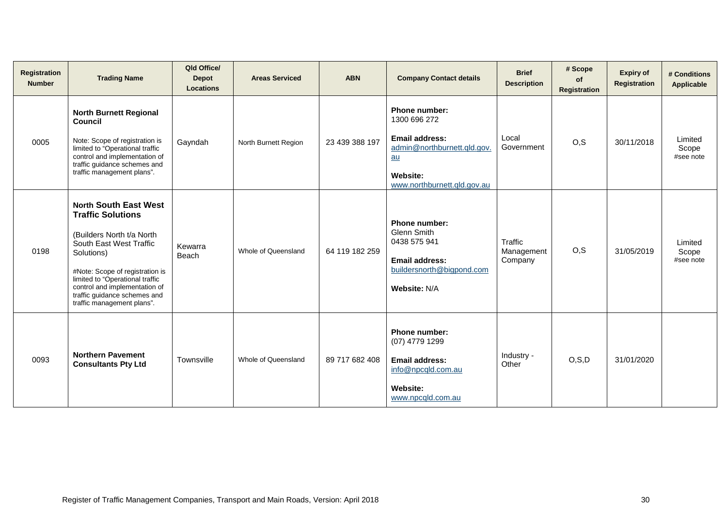| Registration<br><b>Number</b> | <b>Trading Name</b>                                                                                                                                                                                                                                                                                 | Qld Office/<br><b>Depot</b><br><b>Locations</b> | <b>Areas Serviced</b> | <b>ABN</b>     | <b>Company Contact details</b>                                                                                                           | <b>Brief</b><br><b>Description</b> | # Scope<br>of<br><b>Registration</b> | <b>Expiry of</b><br><b>Registration</b> | # Conditions<br><b>Applicable</b> |
|-------------------------------|-----------------------------------------------------------------------------------------------------------------------------------------------------------------------------------------------------------------------------------------------------------------------------------------------------|-------------------------------------------------|-----------------------|----------------|------------------------------------------------------------------------------------------------------------------------------------------|------------------------------------|--------------------------------------|-----------------------------------------|-----------------------------------|
| 0005                          | <b>North Burnett Regional</b><br>Council<br>Note: Scope of registration is<br>limited to "Operational traffic<br>control and implementation of<br>traffic guidance schemes and<br>traffic management plans".                                                                                        | Gayndah                                         | North Burnett Region  | 23 439 388 197 | Phone number:<br>1300 696 272<br><b>Email address:</b><br>admin@northburnett.gld.gov.<br>$au$<br>Website:<br>www.northburnett.gld.gov.au | Local<br>Government                | O, S                                 | 30/11/2018                              | Limited<br>Scope<br>#see note     |
| 0198                          | <b>North South East West</b><br><b>Traffic Solutions</b><br>(Builders North t/a North<br>South East West Traffic<br>Solutions)<br>#Note: Scope of registration is<br>limited to "Operational traffic<br>control and implementation of<br>traffic guidance schemes and<br>traffic management plans". | Kewarra<br>Beach                                | Whole of Queensland   | 64 119 182 259 | Phone number:<br><b>Glenn Smith</b><br>0438 575 941<br><b>Email address:</b><br>buildersnorth@bigpond.com<br>Website: N/A                | Traffic<br>Management<br>Company   | O, S                                 | 31/05/2019                              | Limited<br>Scope<br>#see note     |
| 0093                          | <b>Northern Pavement</b><br><b>Consultants Pty Ltd</b>                                                                                                                                                                                                                                              | Townsville                                      | Whole of Queensland   | 89 717 682 408 | Phone number:<br>(07) 4779 1299<br><b>Email address:</b><br>info@npcqld.com.au<br>Website:<br>www.npcqld.com.au                          | Industry -<br>Other                | O, S, D                              | 31/01/2020                              |                                   |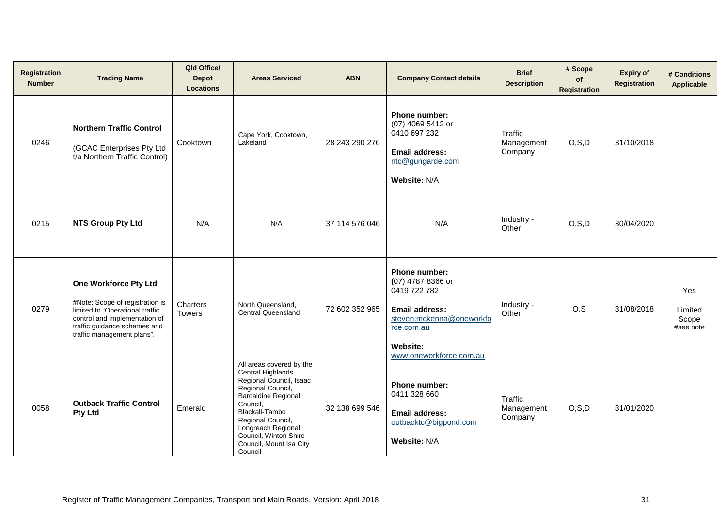| Registration<br><b>Number</b> | <b>Trading Name</b>                                                                                                                                                                        | Qld Office/<br><b>Depot</b><br><b>Locations</b> | <b>Areas Serviced</b>                                                                                                                                                                                                                                               | <b>ABN</b>     | <b>Company Contact details</b>                                                                                                                               | <b>Brief</b><br><b>Description</b> | # Scope<br>of<br>Registration | <b>Expiry of</b><br><b>Registration</b> | # Conditions<br>Applicable                  |
|-------------------------------|--------------------------------------------------------------------------------------------------------------------------------------------------------------------------------------------|-------------------------------------------------|---------------------------------------------------------------------------------------------------------------------------------------------------------------------------------------------------------------------------------------------------------------------|----------------|--------------------------------------------------------------------------------------------------------------------------------------------------------------|------------------------------------|-------------------------------|-----------------------------------------|---------------------------------------------|
| 0246                          | <b>Northern Traffic Control</b><br>(GCAC Enterprises Pty Ltd<br>t/a Northern Traffic Control)                                                                                              | Cooktown                                        | Cape York, Cooktown,<br>Lakeland                                                                                                                                                                                                                                    | 28 243 290 276 | Phone number:<br>(07) 4069 5412 or<br>0410 697 232<br><b>Email address:</b><br>ntc@gungarde.com<br>Website: N/A                                              | Traffic<br>Management<br>Company   | O, S, D                       | 31/10/2018                              |                                             |
| 0215                          | <b>NTS Group Pty Ltd</b>                                                                                                                                                                   | N/A                                             | N/A                                                                                                                                                                                                                                                                 | 37 114 576 046 | N/A                                                                                                                                                          | Industry -<br>Other                | O, S, D                       | 30/04/2020                              |                                             |
| 0279                          | One Workforce Pty Ltd<br>#Note: Scope of registration is<br>limited to "Operational traffic<br>control and implementation of<br>traffic guidance schemes and<br>traffic management plans". | Charters<br><b>Towers</b>                       | North Queensland,<br><b>Central Queensland</b>                                                                                                                                                                                                                      | 72 602 352 965 | Phone number:<br>(07) 4787 8366 or<br>0419 722 782<br>Email address:<br>steven.mckenna@oneworkfo<br>rce.com.au<br><b>Website:</b><br>www.oneworkforce.com.au | Industry -<br>Other                | O, S                          | 31/08/2018                              | <b>Yes</b><br>Limited<br>Scope<br>#see note |
| 0058                          | <b>Outback Traffic Control</b><br><b>Pty Ltd</b>                                                                                                                                           | Emerald                                         | All areas covered by the<br>Central Highlands<br>Regional Council, Isaac<br>Regional Council,<br><b>Barcaldine Regional</b><br>Council,<br>Blackall-Tambo<br>Regional Council,<br>Longreach Regional<br>Council, Winton Shire<br>Council, Mount Isa City<br>Council | 32 138 699 546 | Phone number:<br>0411 328 660<br><b>Email address:</b><br>outbacktc@bigpond.com<br>Website: N/A                                                              | Traffic<br>Management<br>Company   | O, S, D                       | 31/01/2020                              |                                             |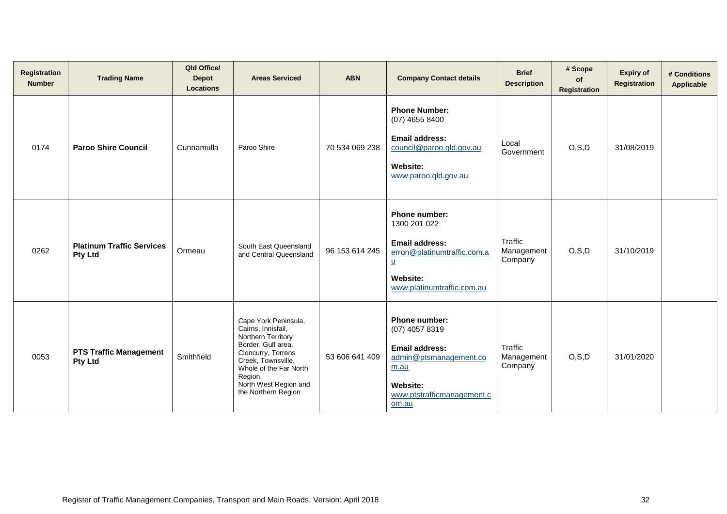| <b>Registration</b><br><b>Number</b> | <b>Trading Name</b>                                | Qld Office/<br><b>Depot</b><br><b>Locations</b> | <b>Areas Serviced</b>                                                                                                                                                                                                          | <b>ABN</b>     | <b>Company Contact details</b>                                                                                                                              | <b>Brief</b><br><b>Description</b>      | # Scope<br>of<br>Registration | <b>Expiry of</b><br><b>Registration</b> | # Conditions<br><b>Applicable</b> |
|--------------------------------------|----------------------------------------------------|-------------------------------------------------|--------------------------------------------------------------------------------------------------------------------------------------------------------------------------------------------------------------------------------|----------------|-------------------------------------------------------------------------------------------------------------------------------------------------------------|-----------------------------------------|-------------------------------|-----------------------------------------|-----------------------------------|
| 0174                                 | <b>Paroo Shire Council</b>                         | Cunnamulla                                      | Paroo Shire                                                                                                                                                                                                                    | 70 534 069 238 | <b>Phone Number:</b><br>$(07)$ 4655 8400<br><b>Email address:</b><br>council@paroo.gld.gov.au<br><b>Website:</b><br>www.paroo.qld.gov.au                    | Local<br>Government                     | O, S, D                       | 31/08/2019                              |                                   |
| 0262                                 | <b>Platinum Traffic Services</b><br><b>Pty Ltd</b> | Ormeau                                          | South East Queensland<br>and Central Queensland                                                                                                                                                                                | 96 153 614 245 | Phone number:<br>1300 201 022<br><b>Email address:</b><br>erron@platinumtraffic.com.a<br>$\underline{u}$<br>Website:<br>www.platinumtraffic.com.au          | Traffic<br>Management<br>Company        | O, S, D                       | 31/10/2019                              |                                   |
| 0053                                 | <b>PTS Traffic Management</b><br><b>Pty Ltd</b>    | Smithfield                                      | Cape York Peninsula,<br>Cairns, Innisfail,<br><b>Northern Territory</b><br>Border, Gulf area,<br>Cloncurry, Torrens<br>Creek, Townsville,<br>Whole of the Far North<br>Region,<br>North West Region and<br>the Northern Region | 53 606 641 409 | <b>Phone number:</b><br>(07) 4057 8319<br><b>Email address:</b><br>admin@ptsmanagement.co<br>m.au<br><b>Website:</b><br>www.ptstrafficmanagement.c<br>om.au | <b>Traffic</b><br>Management<br>Company | O, S, D                       | 31/01/2020                              |                                   |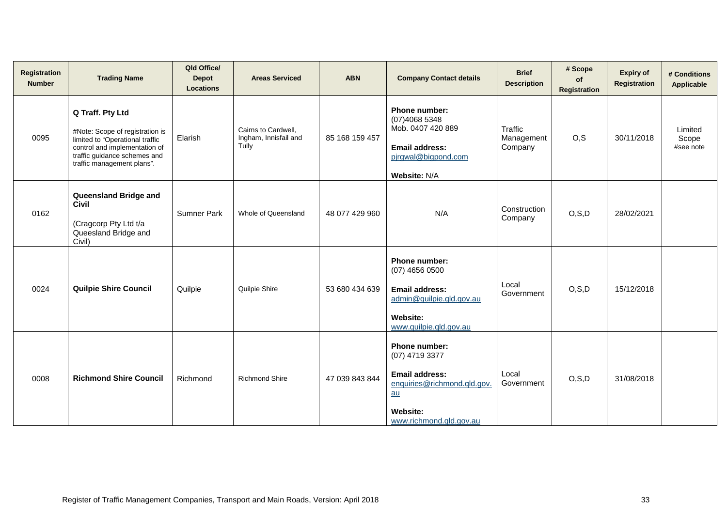| <b>Registration</b><br><b>Number</b> | <b>Trading Name</b>                                                                                                                                                                   | Qld Office/<br><b>Depot</b><br><b>Locations</b> | <b>Areas Serviced</b>                                 | <b>ABN</b>     | <b>Company Contact details</b>                                                                                                              | <b>Brief</b><br><b>Description</b>      | # Scope<br>of<br><b>Registration</b> | <b>Expiry of</b><br><b>Registration</b> | # Conditions<br>Applicable    |
|--------------------------------------|---------------------------------------------------------------------------------------------------------------------------------------------------------------------------------------|-------------------------------------------------|-------------------------------------------------------|----------------|---------------------------------------------------------------------------------------------------------------------------------------------|-----------------------------------------|--------------------------------------|-----------------------------------------|-------------------------------|
| 0095                                 | Q Traff. Pty Ltd<br>#Note: Scope of registration is<br>limited to "Operational traffic<br>control and implementation of<br>traffic guidance schemes and<br>traffic management plans". | Elarish                                         | Cairns to Cardwell,<br>Ingham, Innisfail and<br>Tully | 85 168 159 457 | Phone number:<br>(07)4068 5348<br>Mob. 0407 420 889<br><b>Email address:</b><br>pirgwal@bigpond.com<br>Website: N/A                         | <b>Traffic</b><br>Management<br>Company | O.S                                  | 30/11/2018                              | Limited<br>Scope<br>#see note |
| 0162                                 | Queensland Bridge and<br><b>Civil</b><br>(Cragcorp Pty Ltd t/a<br>Queesland Bridge and<br>Civil)                                                                                      | <b>Sumner Park</b>                              | Whole of Queensland                                   | 48 077 429 960 | N/A                                                                                                                                         | Construction<br>Company                 | O, S, D                              | 28/02/2021                              |                               |
| 0024                                 | <b>Quilpie Shire Council</b>                                                                                                                                                          | Quilpie                                         | Quilpie Shire                                         | 53 680 434 639 | <b>Phone number:</b><br>$(07)$ 4656 0500<br><b>Email address:</b><br>admin@quilpie.qld.gov.au<br>Website:<br>www.quilpie.gld.gov.au         | Local<br>Government                     | O, S, D                              | 15/12/2018                              |                               |
| 0008                                 | <b>Richmond Shire Council</b>                                                                                                                                                         | Richmond                                        | <b>Richmond Shire</b>                                 | 47 039 843 844 | Phone number:<br>(07) 4719 3377<br><b>Email address:</b><br>enquiries@richmond.qld.gov.<br>au<br><b>Website:</b><br>www.richmond.qld.gov.au | Local<br>Government                     | O, S, D                              | 31/08/2018                              |                               |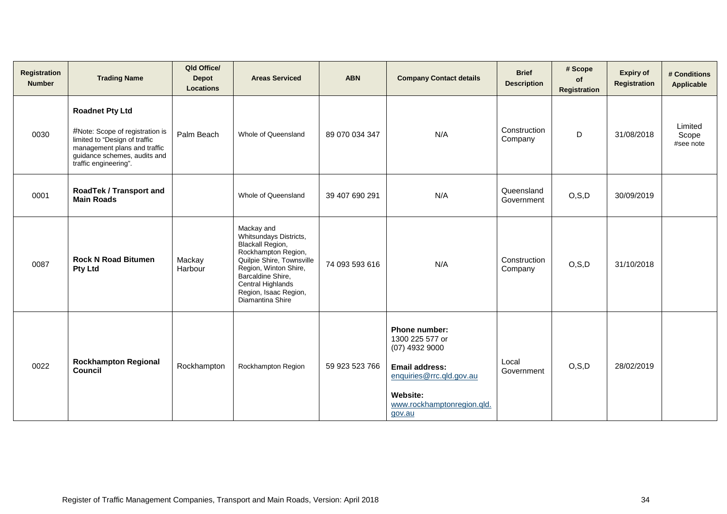| <b>Registration</b><br><b>Number</b> | <b>Trading Name</b>                                                                                                                                                                 | Qld Office/<br><b>Depot</b><br><b>Locations</b> | <b>Areas Serviced</b>                                                                                                                                                                                                               | <b>ABN</b>     | <b>Company Contact details</b>                                                                                                                                       | <b>Brief</b><br><b>Description</b> | # Scope<br>of<br>Registration | <b>Expiry of</b><br><b>Registration</b> | # Conditions<br>Applicable    |
|--------------------------------------|-------------------------------------------------------------------------------------------------------------------------------------------------------------------------------------|-------------------------------------------------|-------------------------------------------------------------------------------------------------------------------------------------------------------------------------------------------------------------------------------------|----------------|----------------------------------------------------------------------------------------------------------------------------------------------------------------------|------------------------------------|-------------------------------|-----------------------------------------|-------------------------------|
| 0030                                 | <b>Roadnet Pty Ltd</b><br>#Note: Scope of registration is<br>limited to "Design of traffic<br>management plans and traffic<br>guidance schemes, audits and<br>traffic engineering". | Palm Beach                                      | Whole of Queensland                                                                                                                                                                                                                 | 89 070 034 347 | N/A                                                                                                                                                                  | Construction<br>Company            | D                             | 31/08/2018                              | Limited<br>Scope<br>#see note |
| 0001                                 | RoadTek / Transport and<br><b>Main Roads</b>                                                                                                                                        |                                                 | Whole of Queensland                                                                                                                                                                                                                 | 39 407 690 291 | N/A                                                                                                                                                                  | Queensland<br>Government           | O, S, D                       | 30/09/2019                              |                               |
| 0087                                 | <b>Rock N Road Bitumen</b><br><b>Pty Ltd</b>                                                                                                                                        | Mackay<br>Harbour                               | Mackay and<br>Whitsundays Districts,<br><b>Blackall Region,</b><br>Rockhampton Region,<br>Quilpie Shire, Townsville<br>Region, Winton Shire,<br>Barcaldine Shire,<br>Central Highlands<br>Region, Isaac Region,<br>Diamantina Shire | 74 093 593 616 | N/A                                                                                                                                                                  | Construction<br>Company            | O, S, D                       | 31/10/2018                              |                               |
| 0022                                 | <b>Rockhampton Regional</b><br>Council                                                                                                                                              | Rockhampton                                     | Rockhampton Region                                                                                                                                                                                                                  | 59 923 523 766 | Phone number:<br>1300 225 577 or<br>$(07)$ 4932 9000<br><b>Email address:</b><br>enquiries@rrc.qld.gov.au<br><b>Website:</b><br>www.rockhamptonregion.qld.<br>gov.au | Local<br>Government                | O, S, D                       | 28/02/2019                              |                               |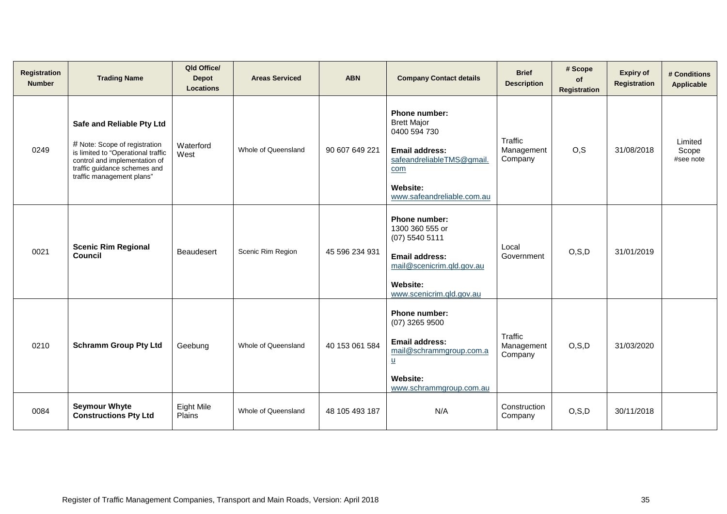| <b>Registration</b><br><b>Number</b> | <b>Trading Name</b>                                                                                                                                                                            | Qld Office/<br><b>Depot</b><br><b>Locations</b> | <b>Areas Serviced</b> | <b>ABN</b>     | <b>Company Contact details</b>                                                                                                                                    | <b>Brief</b><br><b>Description</b> | # Scope<br>of<br><b>Registration</b> | <b>Expiry of</b><br><b>Registration</b> | # Conditions<br><b>Applicable</b> |
|--------------------------------------|------------------------------------------------------------------------------------------------------------------------------------------------------------------------------------------------|-------------------------------------------------|-----------------------|----------------|-------------------------------------------------------------------------------------------------------------------------------------------------------------------|------------------------------------|--------------------------------------|-----------------------------------------|-----------------------------------|
| 0249                                 | Safe and Reliable Pty Ltd<br># Note: Scope of registration<br>is limited to "Operational traffic<br>control and implementation of<br>traffic guidance schemes and<br>traffic management plans" | Waterford<br>West                               | Whole of Queensland   | 90 607 649 221 | Phone number:<br><b>Brett Major</b><br>0400 594 730<br><b>Email address:</b><br>safeandreliableTMS@gmail.<br>com<br><b>Website:</b><br>www.safeandreliable.com.au | Traffic<br>Management<br>Company   | O, S                                 | 31/08/2018                              | Limited<br>Scope<br>#see note     |
| 0021                                 | <b>Scenic Rim Regional</b><br><b>Council</b>                                                                                                                                                   | <b>Beaudesert</b>                               | Scenic Rim Region     | 45 596 234 931 | Phone number:<br>1300 360 555 or<br>$(07)$ 5540 5111<br><b>Email address:</b><br>mail@scenicrim.qld.gov.au<br><b>Website:</b><br>www.scenicrim.gld.gov.au         | Local<br>Government                | O, S, D                              | 31/01/2019                              |                                   |
| 0210                                 | <b>Schramm Group Pty Ltd</b>                                                                                                                                                                   | Geebung                                         | Whole of Queensland   | 40 153 061 584 | Phone number:<br>$(07)$ 3265 9500<br><b>Email address:</b><br>mail@schrammgroup.com.a<br>$\underline{u}$<br>Website:<br>www.schrammgroup.com.au                   | Traffic<br>Management<br>Company   | O, S, D                              | 31/03/2020                              |                                   |
| 0084                                 | <b>Seymour Whyte</b><br><b>Constructions Pty Ltd</b>                                                                                                                                           | Eight Mile<br>Plains                            | Whole of Queensland   | 48 105 493 187 | N/A                                                                                                                                                               | Construction<br>Company            | O, S, D                              | 30/11/2018                              |                                   |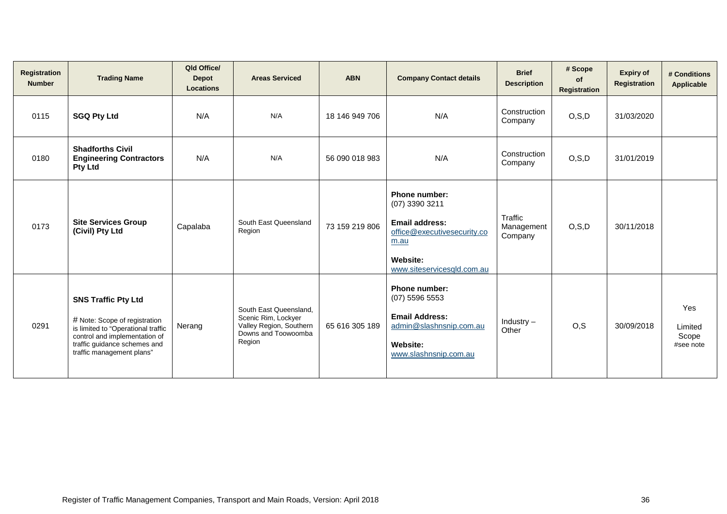| Registration<br><b>Number</b> | <b>Trading Name</b>                                                                                                                                                                             | Qld Office/<br><b>Depot</b><br><b>Locations</b> | <b>Areas Serviced</b>                                                                                     | <b>ABN</b>     | <b>Company Contact details</b>                                                                                                                          | <b>Brief</b><br><b>Description</b> | # Scope<br>of<br><b>Registration</b> | <b>Expiry of</b><br>Registration | # Conditions<br><b>Applicable</b>    |
|-------------------------------|-------------------------------------------------------------------------------------------------------------------------------------------------------------------------------------------------|-------------------------------------------------|-----------------------------------------------------------------------------------------------------------|----------------|---------------------------------------------------------------------------------------------------------------------------------------------------------|------------------------------------|--------------------------------------|----------------------------------|--------------------------------------|
| 0115                          | <b>SGQ Pty Ltd</b>                                                                                                                                                                              | N/A                                             | N/A                                                                                                       | 18 146 949 706 | N/A                                                                                                                                                     | Construction<br>Company            | O, S, D                              | 31/03/2020                       |                                      |
| 0180                          | <b>Shadforths Civil</b><br><b>Engineering Contractors</b><br><b>Pty Ltd</b>                                                                                                                     | N/A                                             | N/A                                                                                                       | 56 090 018 983 | N/A                                                                                                                                                     | Construction<br>Company            | O, S, D                              | 31/01/2019                       |                                      |
| 0173                          | <b>Site Services Group</b><br>(Civil) Pty Ltd                                                                                                                                                   | Capalaba                                        | South East Queensland<br>Region                                                                           | 73 159 219 806 | <b>Phone number:</b><br>(07) 3390 3211<br><b>Email address:</b><br>office@executivesecurity.co<br>m.au<br><b>Website:</b><br>www.siteservicesqld.com.au | Traffic<br>Management<br>Company   | O, S, D                              | 30/11/2018                       |                                      |
| 0291                          | <b>SNS Traffic Pty Ltd</b><br># Note: Scope of registration<br>is limited to "Operational traffic<br>control and implementation of<br>traffic guidance schemes and<br>traffic management plans" | Nerang                                          | South East Queensland,<br>Scenic Rim, Lockyer<br>Valley Region, Southern<br>Downs and Toowoomba<br>Region | 65 616 305 189 | <b>Phone number:</b><br>$(07)$ 5596 5553<br><b>Email Address:</b><br>admin@slashnsnip.com.au<br>Website:<br>www.slashnsnip.com.au                       | Industry $-$<br>Other              | O, S                                 | 30/09/2018                       | Yes<br>Limited<br>Scope<br>#see note |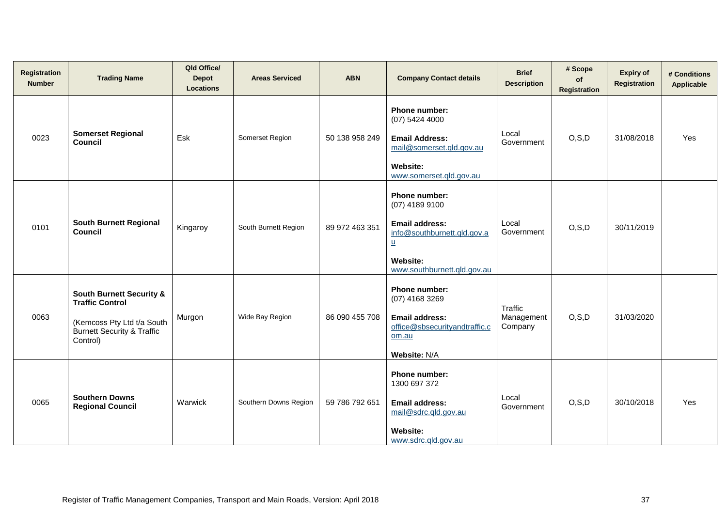| <b>Registration</b><br><b>Number</b> | <b>Trading Name</b>                                                                                                                              | Qld Office/<br><b>Depot</b><br><b>Locations</b> | <b>Areas Serviced</b> | <b>ABN</b>     | <b>Company Contact details</b>                                                                                                                               | <b>Brief</b><br><b>Description</b> | # Scope<br>of<br>Registration | <b>Expiry of</b><br>Registration | # Conditions<br>Applicable |
|--------------------------------------|--------------------------------------------------------------------------------------------------------------------------------------------------|-------------------------------------------------|-----------------------|----------------|--------------------------------------------------------------------------------------------------------------------------------------------------------------|------------------------------------|-------------------------------|----------------------------------|----------------------------|
| 0023                                 | <b>Somerset Regional</b><br><b>Council</b>                                                                                                       | Esk                                             | Somerset Region       | 50 138 958 249 | Phone number:<br>$(07)$ 5424 4000<br><b>Email Address:</b><br>mail@somerset.qld.gov.au<br><b>Website:</b><br>www.somerset.qld.gov.au                         | Local<br>Government                | O, S, D                       | 31/08/2018                       | Yes                        |
| 0101                                 | <b>South Burnett Regional</b><br>Council                                                                                                         | Kingaroy                                        | South Burnett Region  | 89 972 463 351 | Phone number:<br>(07) 4189 9100<br><b>Email address:</b><br>info@southburnett.qld.gov.a<br>$\underline{u}$<br><b>Website:</b><br>www.southburnett.gld.gov.au | Local<br>Government                | O, S, D                       | 30/11/2019                       |                            |
| 0063                                 | <b>South Burnett Security &amp;</b><br><b>Traffic Control</b><br>(Kemcoss Pty Ltd t/a South<br><b>Burnett Security &amp; Traffic</b><br>Control) | Murgon                                          | Wide Bay Region       | 86 090 455 708 | Phone number:<br>$(07)$ 4168 3269<br><b>Email address:</b><br>office@sbsecurityandtraffic.c<br>om.au<br>Website: N/A                                         | Traffic<br>Management<br>Company   | O, S, D                       | 31/03/2020                       |                            |
| 0065                                 | <b>Southern Downs</b><br><b>Regional Council</b>                                                                                                 | Warwick                                         | Southern Downs Region | 59 786 792 651 | Phone number:<br>1300 697 372<br><b>Email address:</b><br>mail@sdrc.gld.gov.au<br><b>Website:</b><br>www.sdrc.gld.gov.au                                     | Local<br>Government                | O, S, D                       | 30/10/2018                       | Yes                        |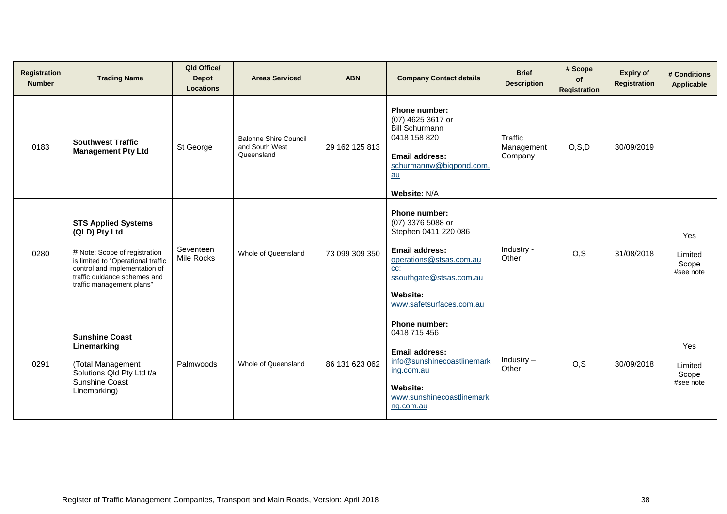| Registration<br><b>Number</b> | <b>Trading Name</b>                                                                                                                                                                                              | Qld Office/<br><b>Depot</b><br><b>Locations</b> | <b>Areas Serviced</b>                                        | <b>ABN</b>     | <b>Company Contact details</b>                                                                                                                                                                  | <b>Brief</b><br><b>Description</b> | # Scope<br>of<br><b>Registration</b> | <b>Expiry of</b><br><b>Registration</b> | # Conditions<br>Applicable           |
|-------------------------------|------------------------------------------------------------------------------------------------------------------------------------------------------------------------------------------------------------------|-------------------------------------------------|--------------------------------------------------------------|----------------|-------------------------------------------------------------------------------------------------------------------------------------------------------------------------------------------------|------------------------------------|--------------------------------------|-----------------------------------------|--------------------------------------|
| 0183                          | <b>Southwest Traffic</b><br><b>Management Pty Ltd</b>                                                                                                                                                            | St George                                       | <b>Balonne Shire Council</b><br>and South West<br>Queensland | 29 162 125 813 | Phone number:<br>(07) 4625 3617 or<br><b>Bill Schurmann</b><br>0418 158 820<br><b>Email address:</b><br>schurmannw@bigpond.com.<br>au<br>Website: N/A                                           | Traffic<br>Management<br>Company   | O, S, D                              | 30/09/2019                              |                                      |
| 0280                          | <b>STS Applied Systems</b><br>(QLD) Pty Ltd<br># Note: Scope of registration<br>is limited to "Operational traffic<br>control and implementation of<br>traffic guidance schemes and<br>traffic management plans" | Seventeen<br>Mile Rocks                         | Whole of Queensland                                          | 73 099 309 350 | <b>Phone number:</b><br>(07) 3376 5088 or<br>Stephen 0411 220 086<br>Email address:<br>operations@stsas.com.au<br>CC:<br>ssouthgate@stsas.com.au<br><b>Website:</b><br>www.safetsurfaces.com.au | Industry -<br>Other                | O, S                                 | 31/08/2018                              | Yes<br>Limited<br>Scope<br>#see note |
| 0291                          | <b>Sunshine Coast</b><br>Linemarking<br>(Total Management<br>Solutions Qld Pty Ltd t/a<br>Sunshine Coast<br>Linemarking)                                                                                         | Palmwoods                                       | Whole of Queensland                                          | 86 131 623 062 | Phone number:<br>0418 715 456<br>Email address:<br>info@sunshinecoastlinemark<br>ing.com.au<br><b>Website:</b><br>www.sunshinecoastlinemarki<br>ng.com.au                                       | $Industry -$<br>Other              | O, S                                 | 30/09/2018                              | Yes<br>Limited<br>Scope<br>#see note |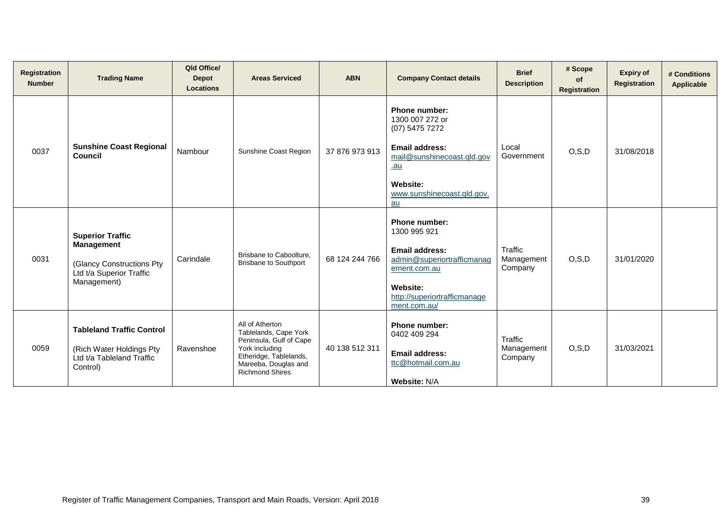| <b>Registration</b><br><b>Number</b> | <b>Trading Name</b>                                                                                                   | Qld Office/<br><b>Depot</b><br><b>Locations</b> | <b>Areas Serviced</b>                                                                                                                                             | <b>ABN</b>     | <b>Company Contact details</b>                                                                                                                                    | <b>Brief</b><br><b>Description</b> | # Scope<br><b>of</b><br>Registration | <b>Expiry of</b><br><b>Registration</b> | # Conditions<br>Applicable |
|--------------------------------------|-----------------------------------------------------------------------------------------------------------------------|-------------------------------------------------|-------------------------------------------------------------------------------------------------------------------------------------------------------------------|----------------|-------------------------------------------------------------------------------------------------------------------------------------------------------------------|------------------------------------|--------------------------------------|-----------------------------------------|----------------------------|
| 0037                                 | <b>Sunshine Coast Regional</b><br>Council                                                                             | Nambour                                         | Sunshine Coast Region                                                                                                                                             | 37 876 973 913 | Phone number:<br>1300 007 272 or<br>(07) 5475 7272<br><b>Email address:</b><br>mail@sunshinecoast.qld.gov<br>$au$<br>Website:<br>www.sunshinecoast.gld.gov.<br>au | Local<br>Government                | O, S, D                              | 31/08/2018                              |                            |
| 0031                                 | <b>Superior Traffic</b><br><b>Management</b><br>(Glancy Constructions Pty)<br>Ltd t/a Superior Traffic<br>Management) | Carindale                                       | Brisbane to Caboolture,<br><b>Brisbane to Southport</b>                                                                                                           | 68 124 244 766 | <b>Phone number:</b><br>1300 995 921<br>Email address:<br>admin@superiortrafficmanag<br>ement.com.au<br>Website:<br>http://superiortrafficmanage<br>ment.com.au/  | Traffic<br>Management<br>Company   | O, S, D                              | 31/01/2020                              |                            |
| 0059                                 | <b>Tableland Traffic Control</b><br>(Rich Water Holdings Pty<br>Ltd t/a Tableland Traffic<br>Control)                 | Ravenshoe                                       | All of Atherton<br>Tablelands, Cape York<br>Peninsula, Gulf of Cape<br>York including<br>Etheridge, Tablelands,<br>Mareeba, Douglas and<br><b>Richmond Shires</b> | 40 138 512 311 | <b>Phone number:</b><br>0402 409 294<br>Email address:<br>ttc@hotmail.com.au<br>Website: N/A                                                                      | Traffic<br>Management<br>Company   | O, S, D                              | 31/03/2021                              |                            |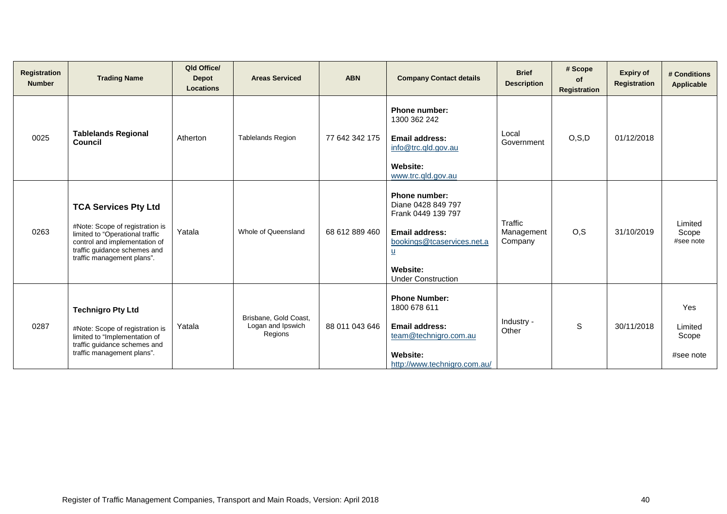| <b>Registration</b><br><b>Number</b> | <b>Trading Name</b>                                                                                                                                                                              | Qld Office/<br><b>Depot</b><br><b>Locations</b> | <b>Areas Serviced</b>                                 | <b>ABN</b>     | <b>Company Contact details</b>                                                                                                                                                               | <b>Brief</b><br><b>Description</b> | # Scope<br>of<br><b>Registration</b> | <b>Expiry of</b><br><b>Registration</b> | # Conditions<br>Applicable           |
|--------------------------------------|--------------------------------------------------------------------------------------------------------------------------------------------------------------------------------------------------|-------------------------------------------------|-------------------------------------------------------|----------------|----------------------------------------------------------------------------------------------------------------------------------------------------------------------------------------------|------------------------------------|--------------------------------------|-----------------------------------------|--------------------------------------|
| 0025                                 | <b>Tablelands Regional</b><br>Council                                                                                                                                                            | Atherton                                        | <b>Tablelands Region</b>                              | 77 642 342 175 | <b>Phone number:</b><br>1300 362 242<br><b>Email address:</b><br>info@trc.gld.gov.au<br><b>Website:</b><br>www.trc.qld.gov.au                                                                | Local<br>Government                | O, S, D                              | 01/12/2018                              |                                      |
| 0263                                 | <b>TCA Services Pty Ltd</b><br>#Note: Scope of registration is<br>limited to "Operational traffic<br>control and implementation of<br>traffic guidance schemes and<br>traffic management plans". | Yatala                                          | Whole of Queensland                                   | 68 612 889 460 | <b>Phone number:</b><br>Diane 0428 849 797<br>Frank 0449 139 797<br>Email address:<br>bookings@tcaservices.net.a<br>$\underline{\mathsf{u}}$<br><b>Website:</b><br><b>Under Construction</b> | Traffic<br>Management<br>Company   | O, S                                 | 31/10/2019                              | Limited<br>Scope<br>#see note        |
| 0287                                 | <b>Technigro Pty Ltd</b><br>#Note: Scope of registration is<br>limited to "Implementation of<br>traffic guidance schemes and<br>traffic management plans".                                       | Yatala                                          | Brisbane, Gold Coast,<br>Logan and Ipswich<br>Regions | 88 011 043 646 | <b>Phone Number:</b><br>1800 678 611<br><b>Email address:</b><br>team@technigro.com.au<br><b>Website:</b><br>http://www.technigro.com.au/                                                    | Industry -<br>Other                | S                                    | 30/11/2018                              | Yes<br>Limited<br>Scope<br>#see note |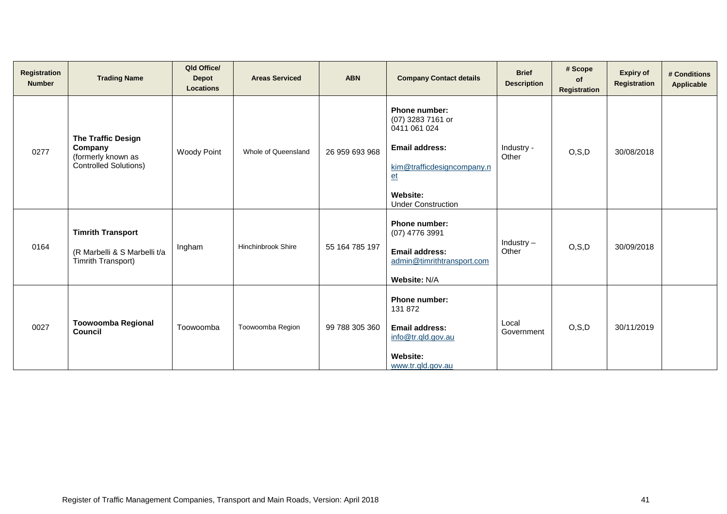| Registration<br><b>Number</b> | <b>Trading Name</b>                                                                        | Qld Office/<br><b>Depot</b><br><b>Locations</b> | <b>Areas Serviced</b>     | <b>ABN</b>     | <b>Company Contact details</b>                                                                                                                             | <b>Brief</b><br><b>Description</b> | # Scope<br>of<br>Registration | <b>Expiry of</b><br>Registration | # Conditions<br>Applicable |
|-------------------------------|--------------------------------------------------------------------------------------------|-------------------------------------------------|---------------------------|----------------|------------------------------------------------------------------------------------------------------------------------------------------------------------|------------------------------------|-------------------------------|----------------------------------|----------------------------|
| 0277                          | <b>The Traffic Design</b><br>Company<br>(formerly known as<br><b>Controlled Solutions)</b> | <b>Woody Point</b>                              | Whole of Queensland       | 26 959 693 968 | Phone number:<br>(07) 3283 7161 or<br>0411 061 024<br><b>Email address:</b><br>kim@trafficdesigncompany.n<br>$et$<br>Website:<br><b>Under Construction</b> | Industry -<br>Other                | O, S, D                       | 30/08/2018                       |                            |
| 0164                          | <b>Timrith Transport</b><br>(R Marbelli & S Marbelli t/a<br>Timrith Transport)             | Ingham                                          | <b>Hinchinbrook Shire</b> | 55 164 785 197 | Phone number:<br>(07) 4776 3991<br><b>Email address:</b><br>admin@timrithtransport.com<br>Website: N/A                                                     | Industry $-$<br>Other              | O, S, D                       | 30/09/2018                       |                            |
| 0027                          | <b>Toowoomba Regional</b><br>Council                                                       | Toowoomba                                       | Toowoomba Region          | 99 788 305 360 | Phone number:<br>131 872<br><b>Email address:</b><br>info@tr.qld.gov.au<br><b>Website:</b><br>www.tr.gld.gov.au                                            | Local<br>Government                | O, S, D                       | 30/11/2019                       |                            |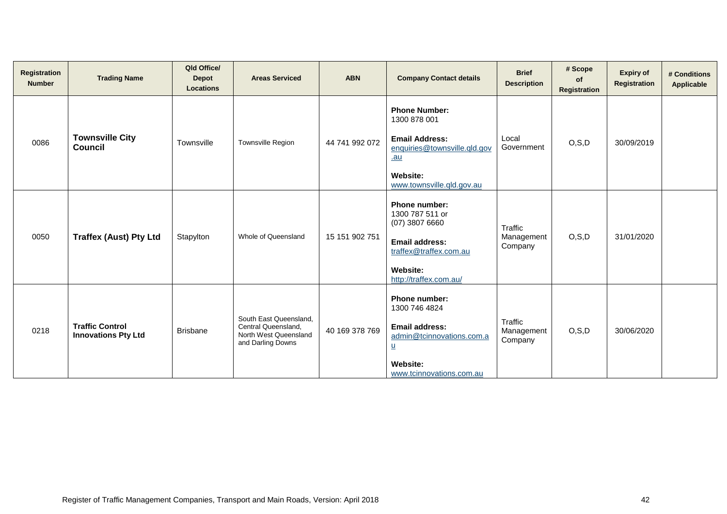| Registration<br><b>Number</b> | <b>Trading Name</b>                                  | Qld Office/<br><b>Depot</b><br><b>Locations</b> | <b>Areas Serviced</b>                                                                       | <b>ABN</b>     | <b>Company Contact details</b>                                                                                                                                         | <b>Brief</b><br><b>Description</b> | # Scope<br><b>of</b><br><b>Registration</b> | <b>Expiry of</b><br>Registration | # Conditions<br><b>Applicable</b> |
|-------------------------------|------------------------------------------------------|-------------------------------------------------|---------------------------------------------------------------------------------------------|----------------|------------------------------------------------------------------------------------------------------------------------------------------------------------------------|------------------------------------|---------------------------------------------|----------------------------------|-----------------------------------|
| 0086                          | <b>Townsville City</b><br><b>Council</b>             | Townsville                                      | Townsville Region                                                                           | 44 741 992 072 | <b>Phone Number:</b><br>1300 878 001<br><b>Email Address:</b><br>enquiries@townsville.gld.gov<br>$au$<br>Website:<br>www.townsville.gld.gov.au                         | Local<br>Government                | O, S, D                                     | 30/09/2019                       |                                   |
| 0050                          | <b>Traffex (Aust) Pty Ltd</b>                        | Stapylton                                       | Whole of Queensland                                                                         | 15 151 902 751 | <b>Phone number:</b><br>1300 787 511 or<br>$(07)$ 3807 6660<br><b>Email address:</b><br>traffex@traffex.com.au<br>Website:<br>http://traffex.com.au/                   | Traffic<br>Management<br>Company   | O, S, D                                     | 31/01/2020                       |                                   |
| 0218                          | <b>Traffic Control</b><br><b>Innovations Pty Ltd</b> | <b>Brisbane</b>                                 | South East Queensland,<br>Central Queensland,<br>North West Queensland<br>and Darling Downs | 40 169 378 769 | <b>Phone number:</b><br>1300 746 4824<br><b>Email address:</b><br>admin@tcinnovations.com.a<br>$\underline{\mathsf{u}}$<br><b>Website:</b><br>www.tcinnovations.com.au | Traffic<br>Management<br>Company   | O, S, D                                     | 30/06/2020                       |                                   |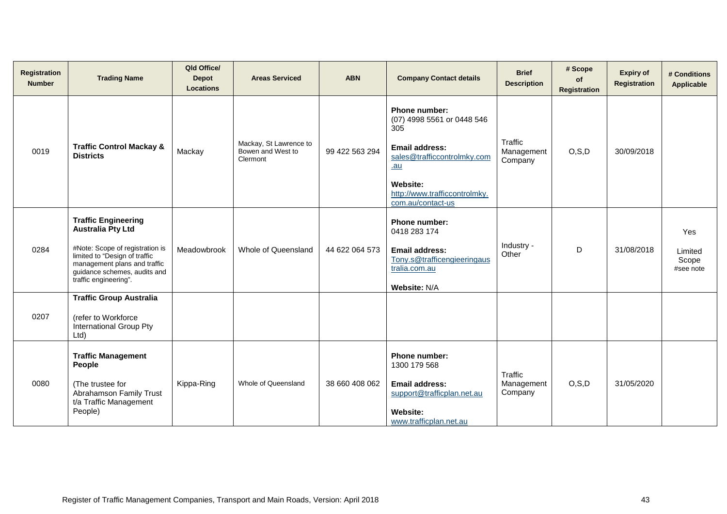| Registration<br><b>Number</b> | <b>Trading Name</b>                                                                                                                                                                                                 | Qld Office/<br><b>Depot</b><br><b>Locations</b> | <b>Areas Serviced</b>                                   | <b>ABN</b>     | <b>Company Contact details</b>                                                                                                                                                              | <b>Brief</b><br><b>Description</b> | # Scope<br>of<br><b>Registration</b> | <b>Expiry of</b><br>Registration | # Conditions<br>Applicable           |
|-------------------------------|---------------------------------------------------------------------------------------------------------------------------------------------------------------------------------------------------------------------|-------------------------------------------------|---------------------------------------------------------|----------------|---------------------------------------------------------------------------------------------------------------------------------------------------------------------------------------------|------------------------------------|--------------------------------------|----------------------------------|--------------------------------------|
| 0019                          | <b>Traffic Control Mackay &amp;</b><br><b>Districts</b>                                                                                                                                                             | Mackay                                          | Mackay, St Lawrence to<br>Bowen and West to<br>Clermont | 99 422 563 294 | <b>Phone number:</b><br>(07) 4998 5561 or 0448 546<br>305<br><b>Email address:</b><br>sales@trafficcontrolmky.com<br>$au$<br>Website:<br>http://www.trafficcontrolmky.<br>com.au/contact-us | Traffic<br>Management<br>Company   | O, S, D                              | 30/09/2018                       |                                      |
| 0284                          | <b>Traffic Engineering</b><br><b>Australia Pty Ltd</b><br>#Note: Scope of registration is<br>limited to "Design of traffic<br>management plans and traffic<br>guidance schemes, audits and<br>traffic engineering". | Meadowbrook                                     | Whole of Queensland                                     | 44 622 064 573 | Phone number:<br>0418 283 174<br><b>Email address:</b><br>Tony.s@trafficengieeringaus<br>tralia.com.au<br>Website: N/A                                                                      | Industry -<br>Other                | D                                    | 31/08/2018                       | Yes<br>Limited<br>Scope<br>#see note |
| 0207                          | <b>Traffic Group Australia</b><br>(refer to Workforce<br>International Group Pty<br>Ltd                                                                                                                             |                                                 |                                                         |                |                                                                                                                                                                                             |                                    |                                      |                                  |                                      |
| 0080                          | <b>Traffic Management</b><br>People<br>(The trustee for<br>Abrahamson Family Trust<br>t/a Traffic Management<br>People)                                                                                             | Kippa-Ring                                      | Whole of Queensland                                     | 38 660 408 062 | Phone number:<br>1300 179 568<br><b>Email address:</b><br>support@trafficplan.net.au<br><b>Website:</b><br>www.trafficplan.net.au                                                           | Traffic<br>Management<br>Company   | O, S, D                              | 31/05/2020                       |                                      |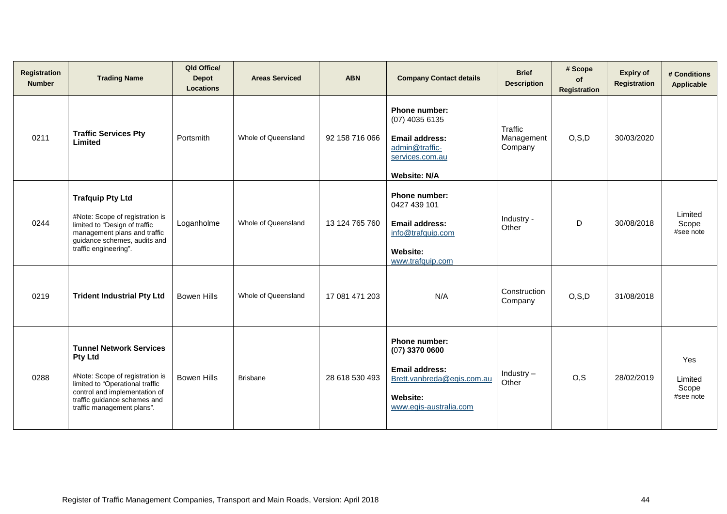| <b>Registration</b><br><b>Number</b> | <b>Trading Name</b>                                                                                                                                                                                                   | Qld Office/<br><b>Depot</b><br><b>Locations</b> | <b>Areas Serviced</b> | <b>ABN</b>     | <b>Company Contact details</b>                                                                                                        | <b>Brief</b><br><b>Description</b> | # Scope<br>of<br><b>Registration</b> | <b>Expiry of</b><br><b>Registration</b> | # Conditions<br>Applicable           |
|--------------------------------------|-----------------------------------------------------------------------------------------------------------------------------------------------------------------------------------------------------------------------|-------------------------------------------------|-----------------------|----------------|---------------------------------------------------------------------------------------------------------------------------------------|------------------------------------|--------------------------------------|-----------------------------------------|--------------------------------------|
| 0211                                 | <b>Traffic Services Pty</b><br>Limited                                                                                                                                                                                | Portsmith                                       | Whole of Queensland   | 92 158 716 066 | Phone number:<br>(07) 4035 6135<br><b>Email address:</b><br>admin@traffic-<br>services.com.au<br><b>Website: N/A</b>                  | Traffic<br>Management<br>Company   | O, S, D                              | 30/03/2020                              |                                      |
| 0244                                 | <b>Trafquip Pty Ltd</b><br>#Note: Scope of registration is<br>limited to "Design of traffic<br>management plans and traffic<br>guidance schemes, audits and<br>traffic engineering".                                  | Loganholme                                      | Whole of Queensland   | 13 124 765 760 | Phone number:<br>0427 439 101<br><b>Email address:</b><br>info@trafquip.com<br>Website:<br>www.trafquip.com                           | Industry -<br>Other                | D                                    | 30/08/2018                              | Limited<br>Scope<br>#see note        |
| 0219                                 | <b>Trident Industrial Pty Ltd</b>                                                                                                                                                                                     | <b>Bowen Hills</b>                              | Whole of Queensland   | 17 081 471 203 | N/A                                                                                                                                   | Construction<br>Company            | O, S, D                              | 31/08/2018                              |                                      |
| 0288                                 | <b>Tunnel Network Services</b><br><b>Pty Ltd</b><br>#Note: Scope of registration is<br>limited to "Operational traffic<br>control and implementation of<br>traffic guidance schemes and<br>traffic management plans". | <b>Bowen Hills</b>                              | <b>Brisbane</b>       | 28 618 530 493 | Phone number:<br>$(07)$ 3370 0600<br><b>Email address:</b><br>Brett.vanbreda@egis.com.au<br><b>Website:</b><br>www.egis-australia.com | Industry $-$<br>Other              | O, S                                 | 28/02/2019                              | Yes<br>Limited<br>Scope<br>#see note |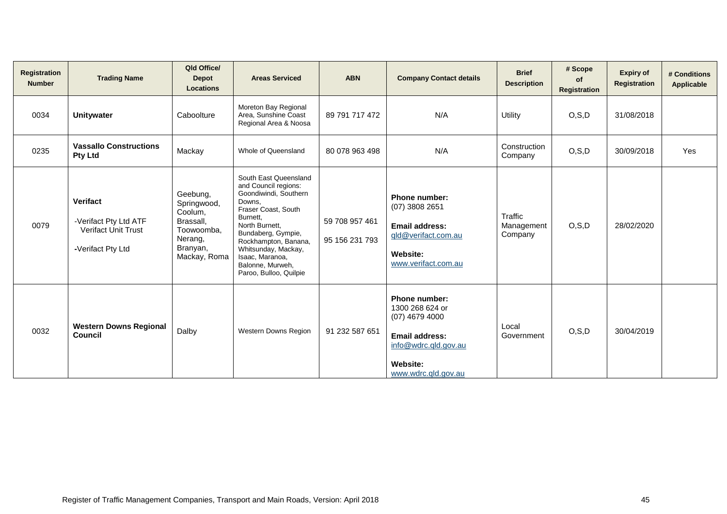| Registration<br><b>Number</b> | <b>Trading Name</b>                                                                         | Qld Office/<br><b>Depot</b><br><b>Locations</b>                                                      | <b>Areas Serviced</b>                                                                                                                                                                                                                                                       | <b>ABN</b>                       | <b>Company Contact details</b>                                                                                                                  | <b>Brief</b><br><b>Description</b> | # Scope<br>of<br><b>Registration</b> | <b>Expiry of</b><br>Registration | # Conditions<br><b>Applicable</b> |
|-------------------------------|---------------------------------------------------------------------------------------------|------------------------------------------------------------------------------------------------------|-----------------------------------------------------------------------------------------------------------------------------------------------------------------------------------------------------------------------------------------------------------------------------|----------------------------------|-------------------------------------------------------------------------------------------------------------------------------------------------|------------------------------------|--------------------------------------|----------------------------------|-----------------------------------|
| 0034                          | <b>Unitywater</b>                                                                           | Caboolture                                                                                           | Moreton Bay Regional<br>Area, Sunshine Coast<br>Regional Area & Noosa                                                                                                                                                                                                       | 89 791 717 472                   | N/A                                                                                                                                             | Utility                            | O, S, D                              | 31/08/2018                       |                                   |
| 0235                          | <b>Vassallo Constructions</b><br><b>Pty Ltd</b>                                             | Mackay                                                                                               | Whole of Queensland                                                                                                                                                                                                                                                         | 80 078 963 498                   | N/A                                                                                                                                             | Construction<br>Company            | O, S, D                              | 30/09/2018                       | Yes                               |
| 0079                          | <b>Verifact</b><br>-Verifact Pty Ltd ATF<br><b>Verifact Unit Trust</b><br>-Verifact Pty Ltd | Geebung,<br>Springwood,<br>Coolum,<br>Brassall,<br>Toowoomba,<br>Nerang,<br>Branyan,<br>Mackay, Roma | South East Queensland<br>and Council regions:<br>Goondiwindi, Southern<br>Downs,<br>Fraser Coast, South<br>Burnett,<br>North Burnett,<br>Bundaberg, Gympie,<br>Rockhampton, Banana,<br>Whitsunday, Mackay,<br>Isaac, Maranoa,<br>Balonne, Murweh,<br>Paroo, Bulloo, Quilpie | 59 708 957 461<br>95 156 231 793 | Phone number:<br>$(07)$ 3808 2651<br><b>Email address:</b><br>gld@verifact.com.au<br>Website:<br>www.verifact.com.au                            | Traffic<br>Management<br>Company   | O, S, D                              | 28/02/2020                       |                                   |
| 0032                          | <b>Western Downs Regional</b><br><b>Council</b>                                             | Dalby                                                                                                | <b>Western Downs Region</b>                                                                                                                                                                                                                                                 | 91 232 587 651                   | Phone number:<br>1300 268 624 or<br>$(07)$ 4679 4000<br><b>Email address:</b><br>info@wdrc.qld.gov.au<br><b>Website:</b><br>www.wdrc.gld.gov.au | Local<br>Government                | O, S, D                              | 30/04/2019                       |                                   |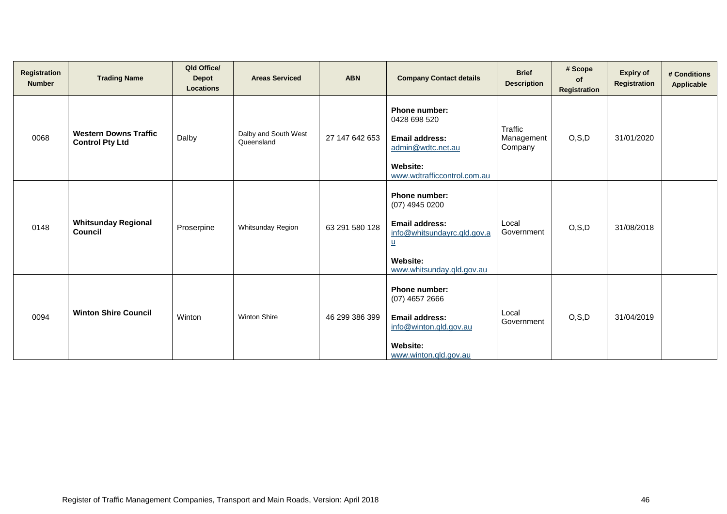| <b>Registration</b><br><b>Number</b> | <b>Trading Name</b>                                    | Qld Office/<br><b>Depot</b><br><b>Locations</b> | <b>Areas Serviced</b>              | <b>ABN</b>     | <b>Company Contact details</b>                                                                                                                               | <b>Brief</b><br><b>Description</b> | # Scope<br>of<br>Registration | <b>Expiry of</b><br>Registration | # Conditions<br>Applicable |
|--------------------------------------|--------------------------------------------------------|-------------------------------------------------|------------------------------------|----------------|--------------------------------------------------------------------------------------------------------------------------------------------------------------|------------------------------------|-------------------------------|----------------------------------|----------------------------|
| 0068                                 | <b>Western Downs Traffic</b><br><b>Control Pty Ltd</b> | Dalby                                           | Dalby and South West<br>Queensland | 27 147 642 653 | Phone number:<br>0428 698 520<br><b>Email address:</b><br>admin@wdtc.net.au<br><b>Website:</b><br>www.wdtrafficcontrol.com.au                                | Traffic<br>Management<br>Company   | O, S, D                       | 31/01/2020                       |                            |
| 0148                                 | <b>Whitsunday Regional</b><br>Council                  | Proserpine                                      | Whitsunday Region                  | 63 291 580 128 | Phone number:<br>(07) 4945 0200<br><b>Email address:</b><br>info@whitsundayrc.qld.gov.a<br>$\underline{\mathsf{u}}$<br>Website:<br>www.whitsunday.qld.gov.au | Local<br>Government                | O, S, D                       | 31/08/2018                       |                            |
| 0094                                 | <b>Winton Shire Council</b>                            | Winton                                          | <b>Winton Shire</b>                | 46 299 386 399 | <b>Phone number:</b><br>$(07)$ 4657 2666<br>Email address:<br>info@winton.qld.gov.au<br>Website:<br>www.winton.gld.gov.au                                    | Local<br>Government                | O, S, D                       | 31/04/2019                       |                            |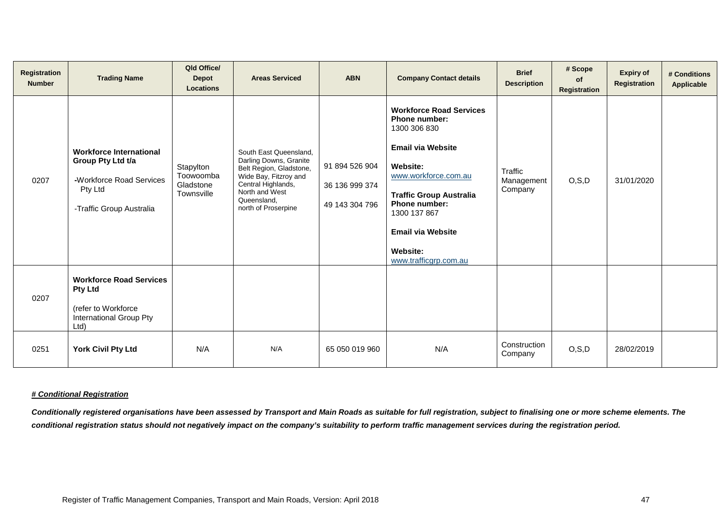| <b>Registration</b><br><b>Number</b> | <b>Trading Name</b>                                                                                                    | Qld Office/<br><b>Depot</b><br><b>Locations</b>   | <b>Areas Serviced</b>                                                                                                                                                              | <b>ABN</b>                                         | <b>Company Contact details</b>                                                                                                                                                                                                                                                           | <b>Brief</b><br><b>Description</b> | # Scope<br>of<br>Registration | <b>Expiry of</b><br><b>Registration</b> | # Conditions<br>Applicable |
|--------------------------------------|------------------------------------------------------------------------------------------------------------------------|---------------------------------------------------|------------------------------------------------------------------------------------------------------------------------------------------------------------------------------------|----------------------------------------------------|------------------------------------------------------------------------------------------------------------------------------------------------------------------------------------------------------------------------------------------------------------------------------------------|------------------------------------|-------------------------------|-----------------------------------------|----------------------------|
| 0207                                 | <b>Workforce International</b><br>Group Pty Ltd t/a<br>-Workforce Road Services<br>Pty Ltd<br>-Traffic Group Australia | Stapylton<br>Toowoomba<br>Gladstone<br>Townsville | South East Queensland,<br>Darling Downs, Granite<br>Belt Region, Gladstone,<br>Wide Bay, Fitzroy and<br>Central Highlands,<br>North and West<br>Queensland,<br>north of Proserpine | 91 894 526 904<br>36 136 999 374<br>49 143 304 796 | <b>Workforce Road Services</b><br><b>Phone number:</b><br>1300 306 830<br><b>Email via Website</b><br>Website:<br>www.workforce.com.au<br><b>Traffic Group Australia</b><br><b>Phone number:</b><br>1300 137 867<br><b>Email via Website</b><br><b>Website:</b><br>www.trafficgrp.com.au | Traffic<br>Management<br>Company   | O, S, D                       | 31/01/2020                              |                            |
| 0207                                 | <b>Workforce Road Services</b><br><b>Pty Ltd</b><br>(refer to Workforce<br>International Group Pty<br>Ltd)             |                                                   |                                                                                                                                                                                    |                                                    |                                                                                                                                                                                                                                                                                          |                                    |                               |                                         |                            |
| 0251                                 | <b>York Civil Pty Ltd</b>                                                                                              | N/A                                               | N/A                                                                                                                                                                                | 65 050 019 960                                     | N/A                                                                                                                                                                                                                                                                                      | Construction<br>Company            | O, S, D                       | 28/02/2019                              |                            |

## *# Conditional Registration*

*Conditionally registered organisations have been assessed by Transport and Main Roads as suitable for full registration, subject to finalising one or more scheme elements. The conditional registration status should not negatively impact on the company's suitability to perform traffic management services during the registration period.*